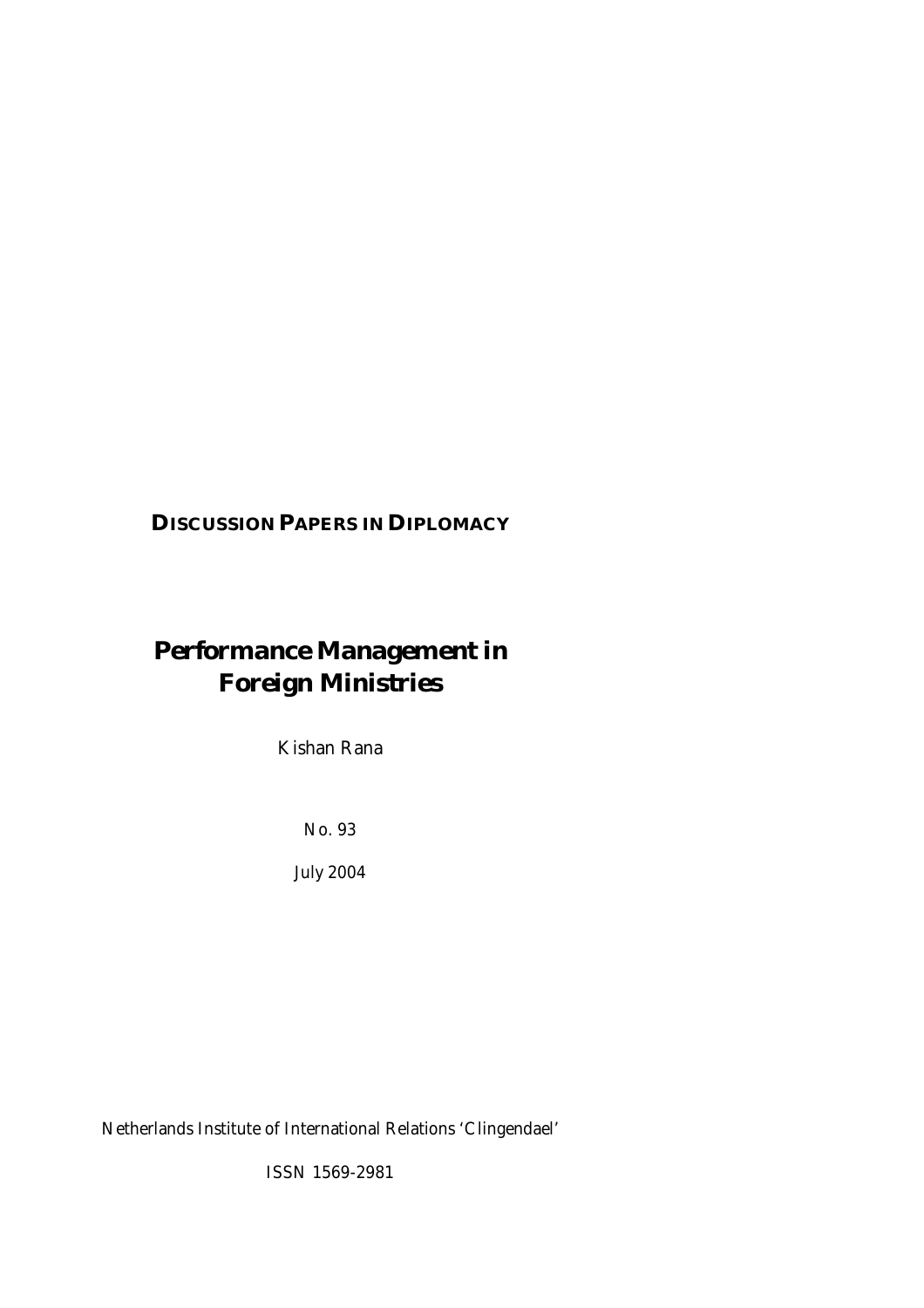*DISCUSSION PAPERS IN DIPLOMACY*

# *Performance Management in Foreign Ministries*

Kishan Rana

No. 93

July 2004

Netherlands Institute of International Relations 'Clingendael'

ISSN 1569-2981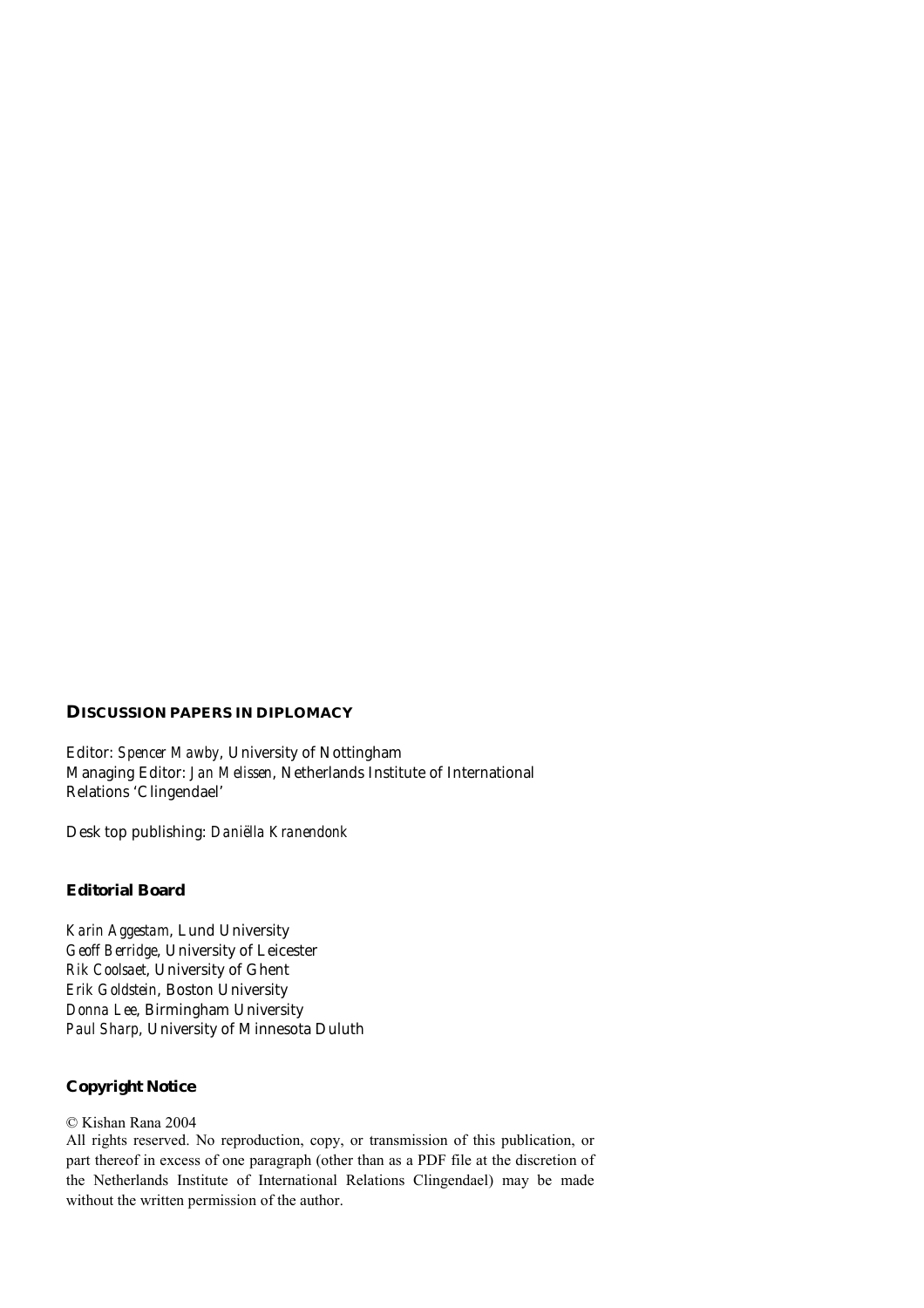#### *DISCUSSION PAPERS IN DIPLOMACY*

Editor: *Spencer Mawby*, University of Nottingham Managing Editor: *Jan Melissen*, Netherlands Institute of International Relations 'Clingendael'

Desk top publishing: *Daniëlla Kranendonk*

#### *Editorial Board*

*Karin Aggestam*, Lund University *Geoff Berridge*, University of Leicester *Rik Coolsaet*, University of Ghent *Erik Goldstein*, Boston University *Donna Lee*, Birmingham University **Paul Sharp**, University of Minnesota Duluth

# *Copyright Notice*

#### © Kishan Rana 2004

All rights reserved. No reproduction, copy, or transmission of this publication, or part thereof in excess of one paragraph (other than as a PDF file at the discretion of the Netherlands Institute of International Relations Clingendael) may be made without the written permission of the author.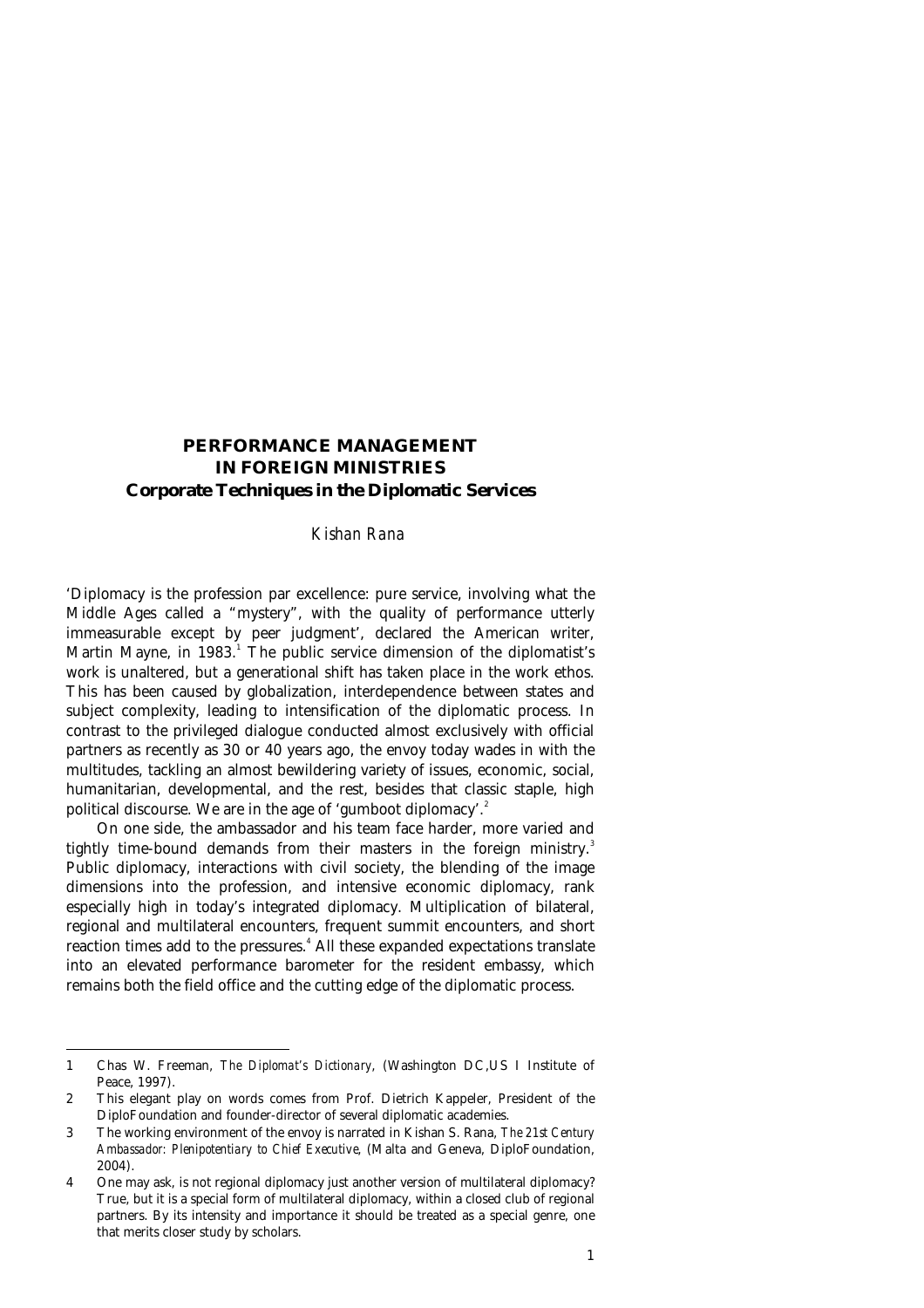# *PERFORMANCE MANAGEMENT IN FOREIGN MINISTRIES Corporate Techniques in the Diplomatic Services*

## *Kishan Rana*

'Diplomacy is the profession par excellence: pure service, involving what the Middle Ages called a "mystery", with the quality of performance utterly immeasurable except by peer judgment', declared the American writer, Martin Mayne, in 1983.<sup>1</sup> The public service dimension of the diplomatist's work is unaltered, but a generational shift has taken place in the work ethos. This has been caused by globalization, interdependence between states and subject complexity, leading to intensification of the diplomatic process. In contrast to the privileged dialogue conducted almost exclusively with official partners as recently as 30 or 40 years ago, the envoy today wades in with the multitudes, tackling an almost bewildering variety of issues, economic, social, humanitarian, developmental, and the rest, besides that classic staple, high political discourse. We are in the age of 'gumboot diplomacy'.<sup>2</sup>

 On one side, the ambassador and his team face harder, more varied and tightly time-bound demands from their masters in the foreign ministry.<sup>3</sup> Public diplomacy, interactions with civil society, the blending of the image dimensions into the profession, and intensive economic diplomacy, rank especially high in today's integrated diplomacy. Multiplication of bilateral, regional and multilateral encounters, frequent summit encounters, and short reaction times add to the pressures. $^4$  All these expanded expectations translate into an elevated performance barometer for the resident embassy, which remains both the field office and the cutting edge of the diplomatic process.

<sup>1</sup> Chas W. Freeman, *The Diplomat's Dictionary*, (Washington DC,US I Institute of Peace, 1997).

<sup>2</sup> This elegant play on words comes from Prof. Dietrich Kappeler, President of the DiploFoundation and founder-director of several diplomatic academies.

<sup>3</sup> The working environment of the envoy is narrated in Kishan S. Rana, *The 21st Century Ambassador: Plenipotentiary to Chief Executive*, (Malta and Geneva, DiploFoundation, 2004).

<sup>4</sup> One may ask, is not regional diplomacy just another version of multilateral diplomacy? True, but it is a special form of multilateral diplomacy, within a closed club of regional partners. By its intensity and importance it should be treated as a special genre, one that merits closer study by scholars.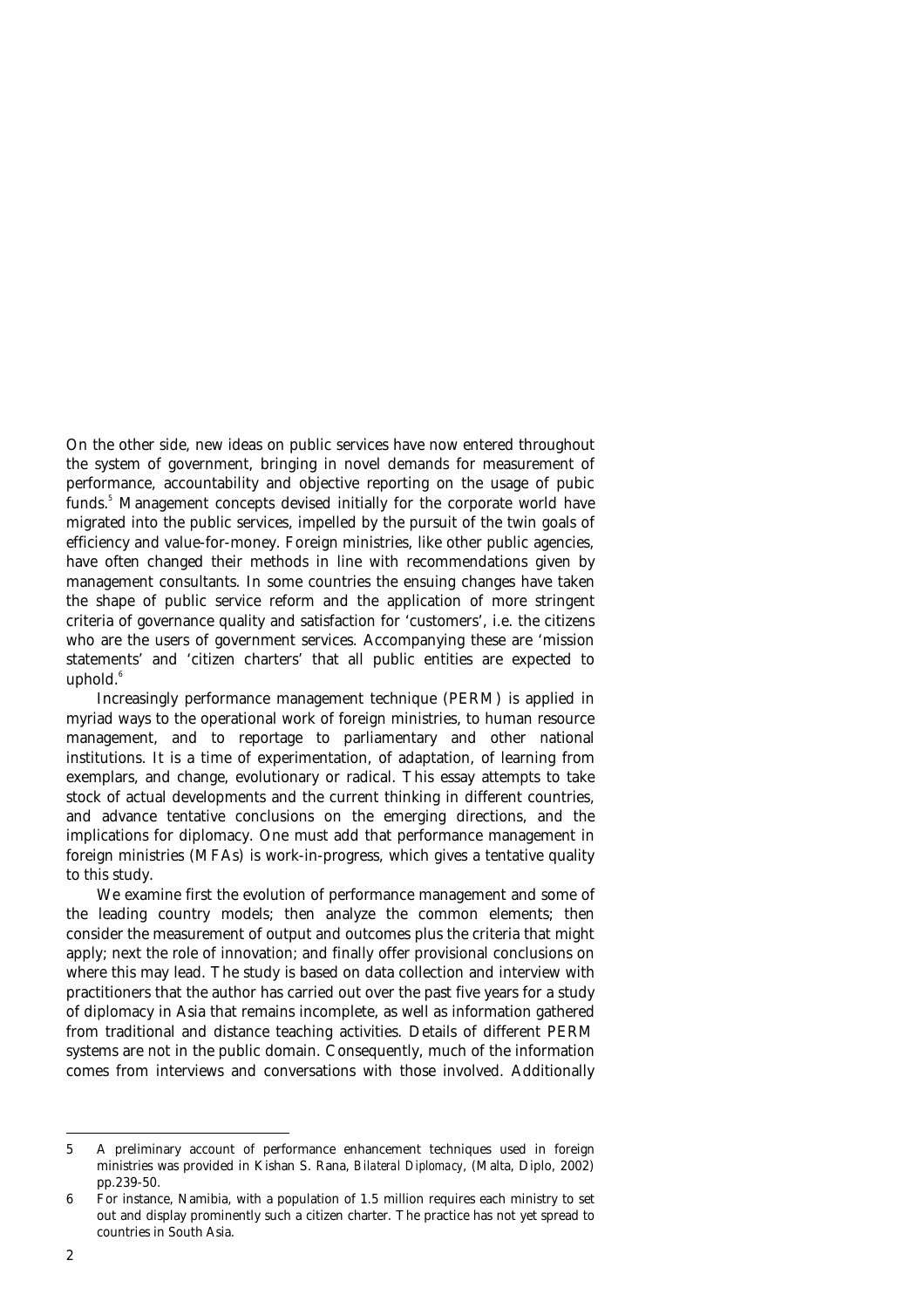On the other side, new ideas on public services have now entered throughout the system of government, bringing in novel demands for measurement of performance, accountability and objective reporting on the usage of pubic funds.<sup>5</sup> Management concepts devised initially for the corporate world have migrated into the public services, impelled by the pursuit of the twin goals of efficiency and value-for-money. Foreign ministries, like other public agencies, have often changed their methods in line with recommendations given by management consultants. In some countries the ensuing changes have taken the shape of public service reform and the application of more stringent criteria of governance quality and satisfaction for 'customers', i.e. the citizens who are the users of government services. Accompanying these are 'mission statements' and 'citizen charters' that all public entities are expected to uphold. $6$ 

 Increasingly performance management technique (PERM) is applied in myriad ways to the operational work of foreign ministries, to human resource management, and to reportage to parliamentary and other national institutions. It is a time of experimentation, of adaptation, of learning from exemplars, and change, evolutionary or radical. This essay attempts to take stock of actual developments and the current thinking in different countries, and advance tentative conclusions on the emerging directions, and the implications for diplomacy. One must add that performance management in foreign ministries (MFAs) is work-in-progress, which gives a tentative quality to this study.

 We examine first the evolution of performance management and some of the leading country models; then analyze the common elements; then consider the measurement of output and outcomes plus the criteria that might apply; next the role of innovation; and finally offer provisional conclusions on where this may lead. The study is based on data collection and interview with practitioners that the author has carried out over the past five years for a study of diplomacy in Asia that remains incomplete, as well as information gathered from traditional and distance teaching activities. Details of different PERM systems are not in the public domain. Consequently, much of the information comes from interviews and conversations with those involved. Additionally

<sup>5</sup> A preliminary account of performance enhancement techniques used in foreign ministries was provided in Kishan S. Rana, *Bilateral Diplomacy*, (Malta, Diplo, 2002) pp.239-50.

<sup>6</sup> For instance, Namibia, with a population of 1.5 million requires each ministry to set out and display prominently such a citizen charter. The practice has not yet spread to countries in South Asia.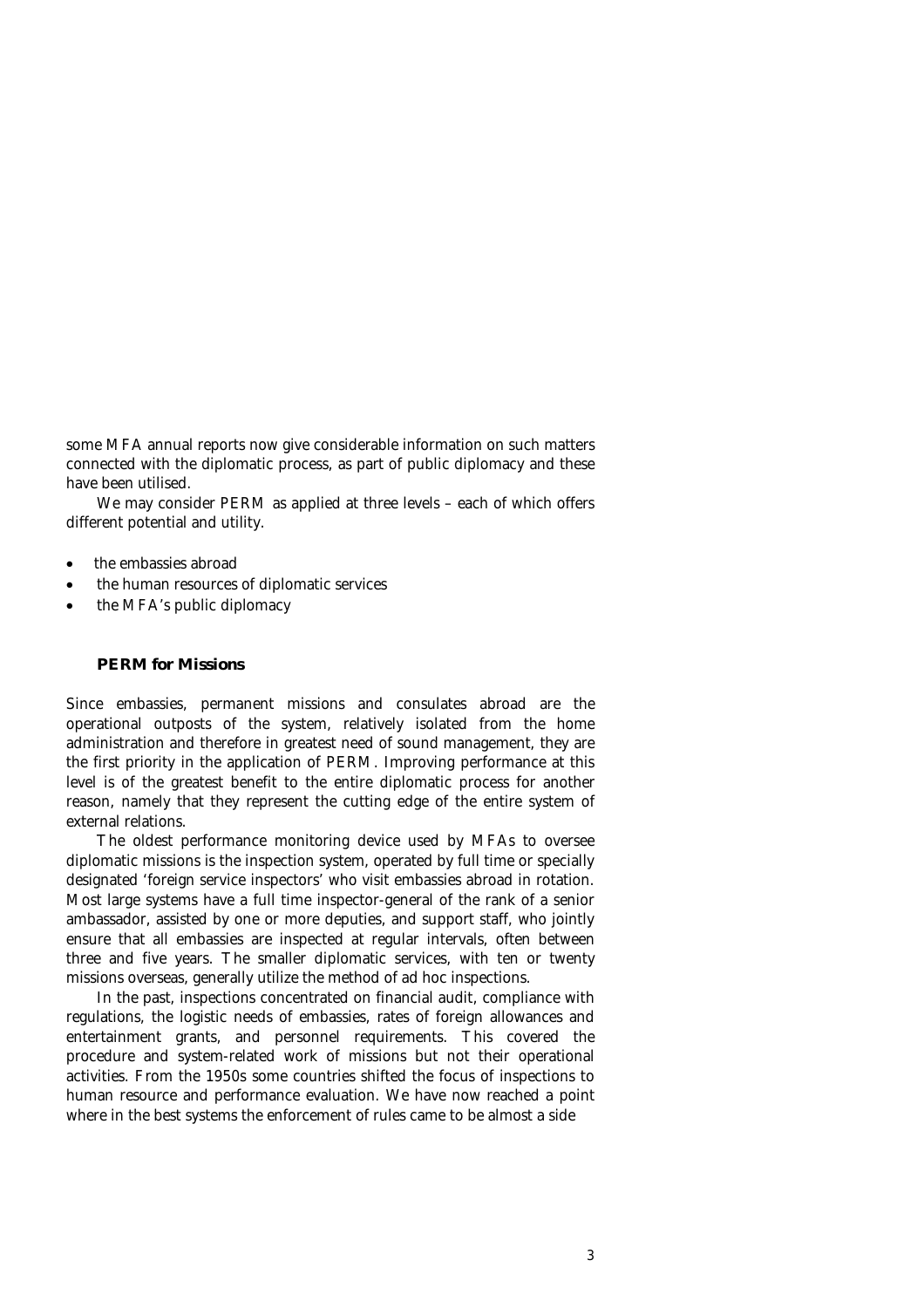some MFA annual reports now give considerable information on such matters connected with the diplomatic process, as part of public diplomacy and these have been utilised.

 We may consider PERM as applied at three levels – each of which offers different potential and utility.

- the embassies abroad
- $\bullet$ the human resources of diplomatic services
- $\bullet$ the MFA's public diplomacy

#### *PERM for Missions*

Since embassies, permanent missions and consulates abroad are the operational outposts of the system, relatively isolated from the home administration and therefore in greatest need of sound management, they are the first priority in the application of PERM. Improving performance at this level is of the greatest benefit to the entire diplomatic process for another reason, namely that they represent the cutting edge of the entire system of external relations.

 The oldest performance monitoring device used by MFAs to oversee diplomatic missions is the inspection system, operated by full time or specially designated 'foreign service inspectors' who visit embassies abroad in rotation. Most large systems have a full time inspector-general of the rank of a senior ambassador, assisted by one or more deputies, and support staff, who jointly ensure that all embassies are inspected at regular intervals, often between three and five years. The smaller diplomatic services, with ten or twenty missions overseas, generally utilize the method of ad hoc inspections.

 In the past, inspections concentrated on financial audit, compliance with regulations, the logistic needs of embassies, rates of foreign allowances and entertainment grants, and personnel requirements. This covered the procedure and system-related work of missions but not their operational activities. From the 1950s some countries shifted the focus of inspections to human resource and performance evaluation. We have now reached a point where in the best systems the enforcement of rules came to be almost a side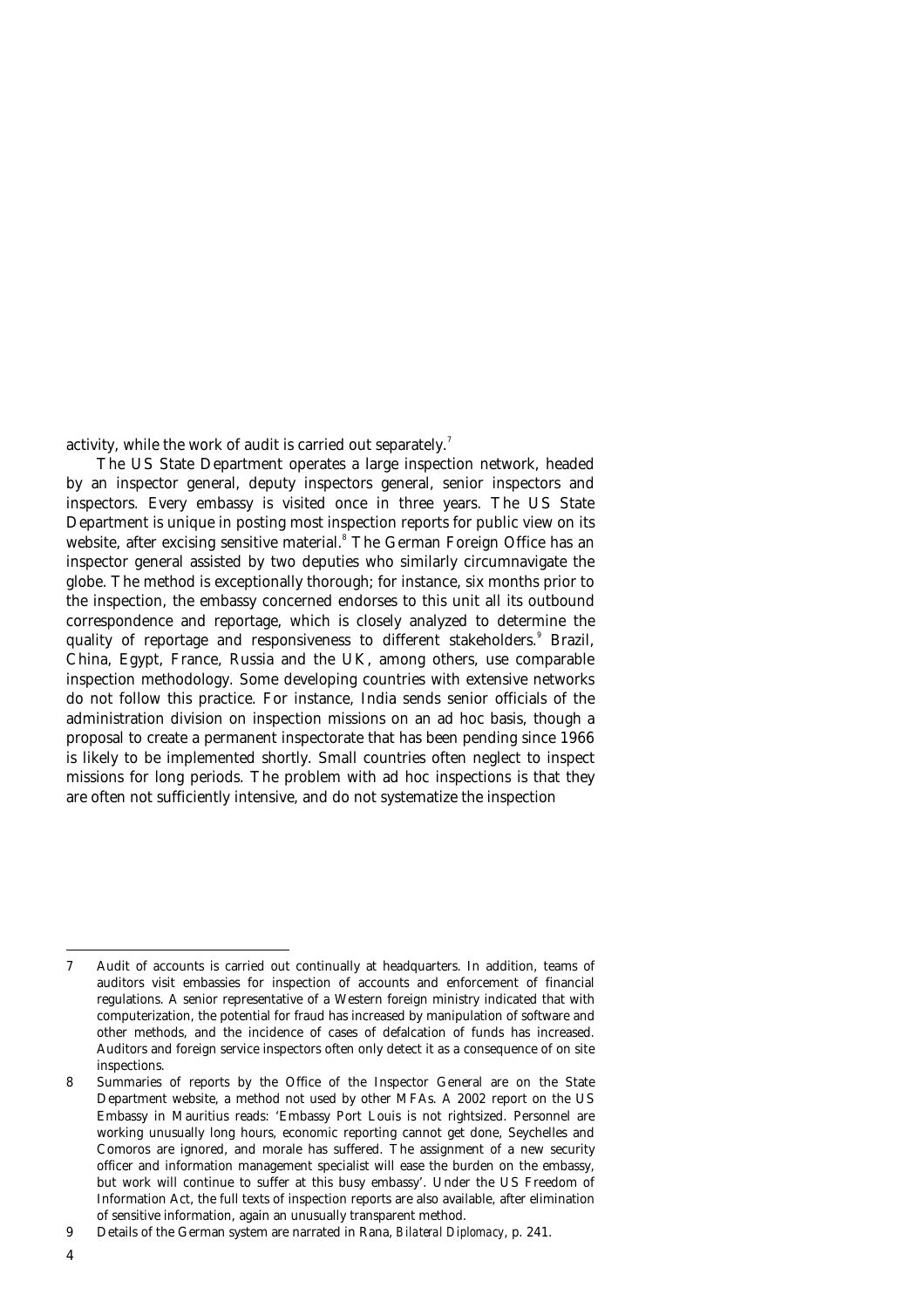activity, while the work of audit is carried out separately.<sup>7</sup>

 The US State Department operates a large inspection network, headed by an inspector general, deputy inspectors general, senior inspectors and inspectors. Every embassy is visited once in three years. The US State Department is unique in posting most inspection reports for public view on its website, after excising sensitive material.<sup>8</sup> The German Foreign Office has an inspector general assisted by two deputies who similarly circumnavigate the globe. The method is exceptionally thorough; for instance, six months prior to the inspection, the embassy concerned endorses to this unit all its outbound correspondence and reportage, which is closely analyzed to determine the quality of reportage and responsiveness to different stakeholders.<sup>9</sup> Brazil, China, Egypt, France, Russia and the UK, among others, use comparable inspection methodology. Some developing countries with extensive networks do not follow this practice. For instance, India sends senior officials of the administration division on inspection missions on an ad hoc basis, though a proposal to create a permanent inspectorate that has been pending since 1966 is likely to be implemented shortly. Small countries often neglect to inspect missions for long periods. The problem with ad hoc inspections is that they are often not sufficiently intensive, and do not systematize the inspection

<sup>7</sup> Audit of accounts is carried out continually at headquarters. In addition, teams of auditors visit embassies for inspection of accounts and enforcement of financial regulations. A senior representative of a Western foreign ministry indicated that with computerization, the potential for fraud has increased by manipulation of software and other methods, and the incidence of cases of defalcation of funds has increased. Auditors and foreign service inspectors often only detect it as a consequence of on site inspections.

<sup>8</sup> Summaries of reports by the Office of the Inspector General are on the State Department website, a method not used by other MFAs. A 2002 report on the US Embassy in Mauritius reads: 'Embassy Port Louis is not rightsized. Personnel are working unusually long hours, economic reporting cannot get done, Seychelles and Comoros are ignored, and morale has suffered. The assignment of a new security officer and information management specialist will ease the burden on the embassy, but work will continue to suffer at this busy embassy'. Under the US Freedom of Information Act, the full texts of inspection reports are also available, after elimination of sensitive information, again an unusually transparent method.

<sup>9</sup> Details of the German system are narrated in Rana, *Bilateral Diplomacy*, p. 241.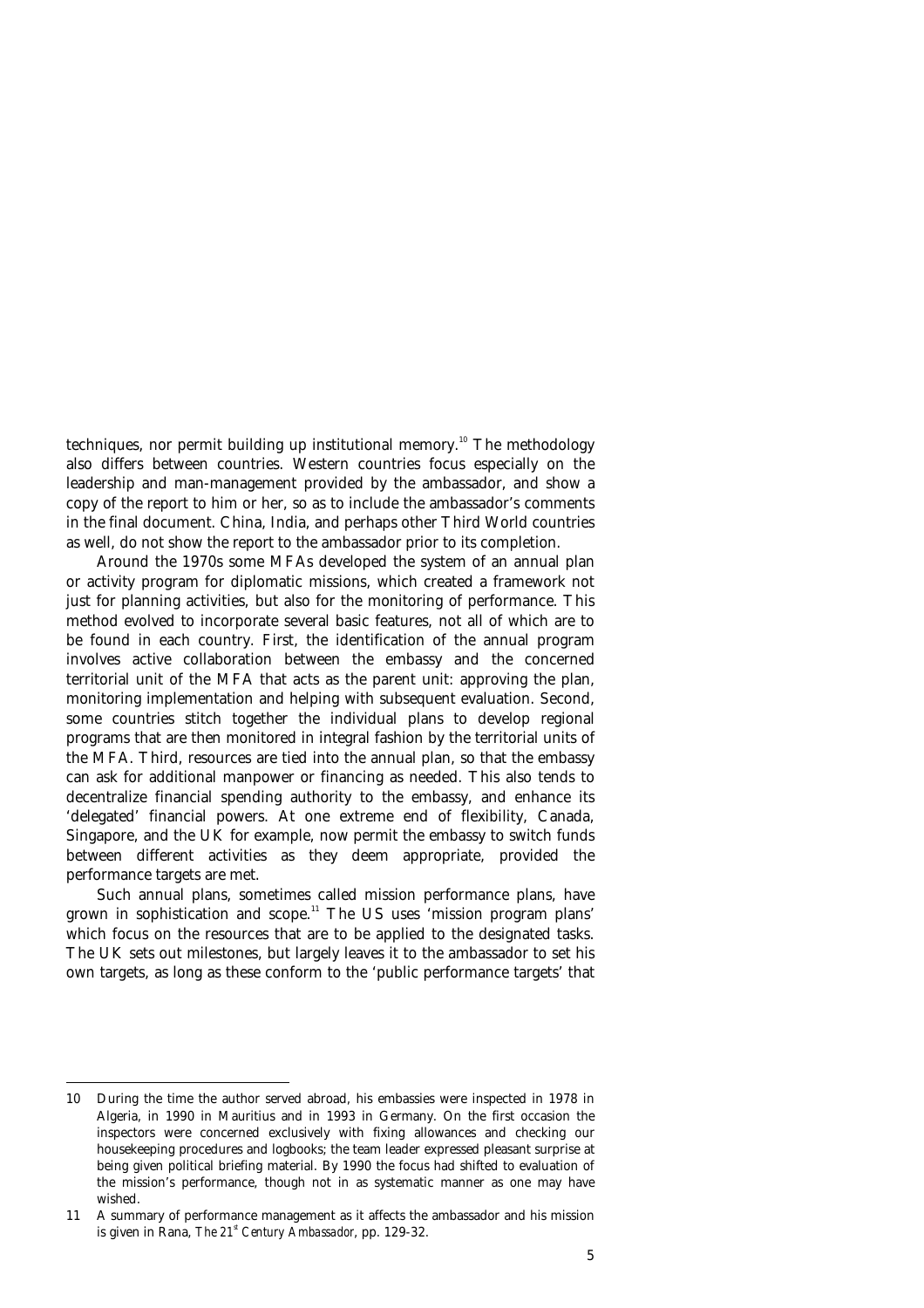techniques, nor permit building up institutional memory.<sup>10</sup> The methodology also differs between countries. Western countries focus especially on the leadership and man-management provided by the ambassador, and show a copy of the report to him or her, so as to include the ambassador's comments in the final document. China, India, and perhaps other Third World countries as well, do not show the report to the ambassador prior to its completion.

 Around the 1970s some MFAs developed the system of an annual plan or activity program for diplomatic missions, which created a framework not just for planning activities, but also for the monitoring of performance. This method evolved to incorporate several basic features, not all of which are to be found in each country. First, the identification of the annual program involves active collaboration between the embassy and the concerned territorial unit of the MFA that acts as the parent unit: approving the plan, monitoring implementation and helping with subsequent evaluation. Second, some countries stitch together the individual plans to develop regional programs that are then monitored in integral fashion by the territorial units of the MFA. Third, resources are tied into the annual plan, so that the embassy can ask for additional manpower or financing as needed. This also tends to decentralize financial spending authority to the embassy, and enhance its 'delegated' financial powers. At one extreme end of flexibility, Canada, Singapore, and the UK for example, now permit the embassy to switch funds between different activities as they deem appropriate, provided the performance targets are met.

 Such annual plans, sometimes called mission performance plans, have grown in sophistication and scope.<sup>11</sup> The US uses 'mission program plans' which focus on the resources that are to be applied to the designated tasks. The UK sets out milestones, but largely leaves it to the ambassador to set his own targets, as long as these conform to the 'public performance targets' that

 $\overline{a}$ 10 During the time the author served abroad, his embassies were inspected in 1978 in Algeria, in 1990 in Mauritius and in 1993 in Germany. On the first occasion the inspectors were concerned exclusively with fixing allowances and checking our housekeeping procedures and logbooks; the team leader expressed pleasant surprise at being given political briefing material. By 1990 the focus had shifted to evaluation of the mission's performance, though not in as systematic manner as one may have wished.

<sup>11</sup> A summary of performance management as it affects the ambassador and his mission is given in Rana, **The 21<sup>st</sup> Century Ambassador**, pp. 129-32.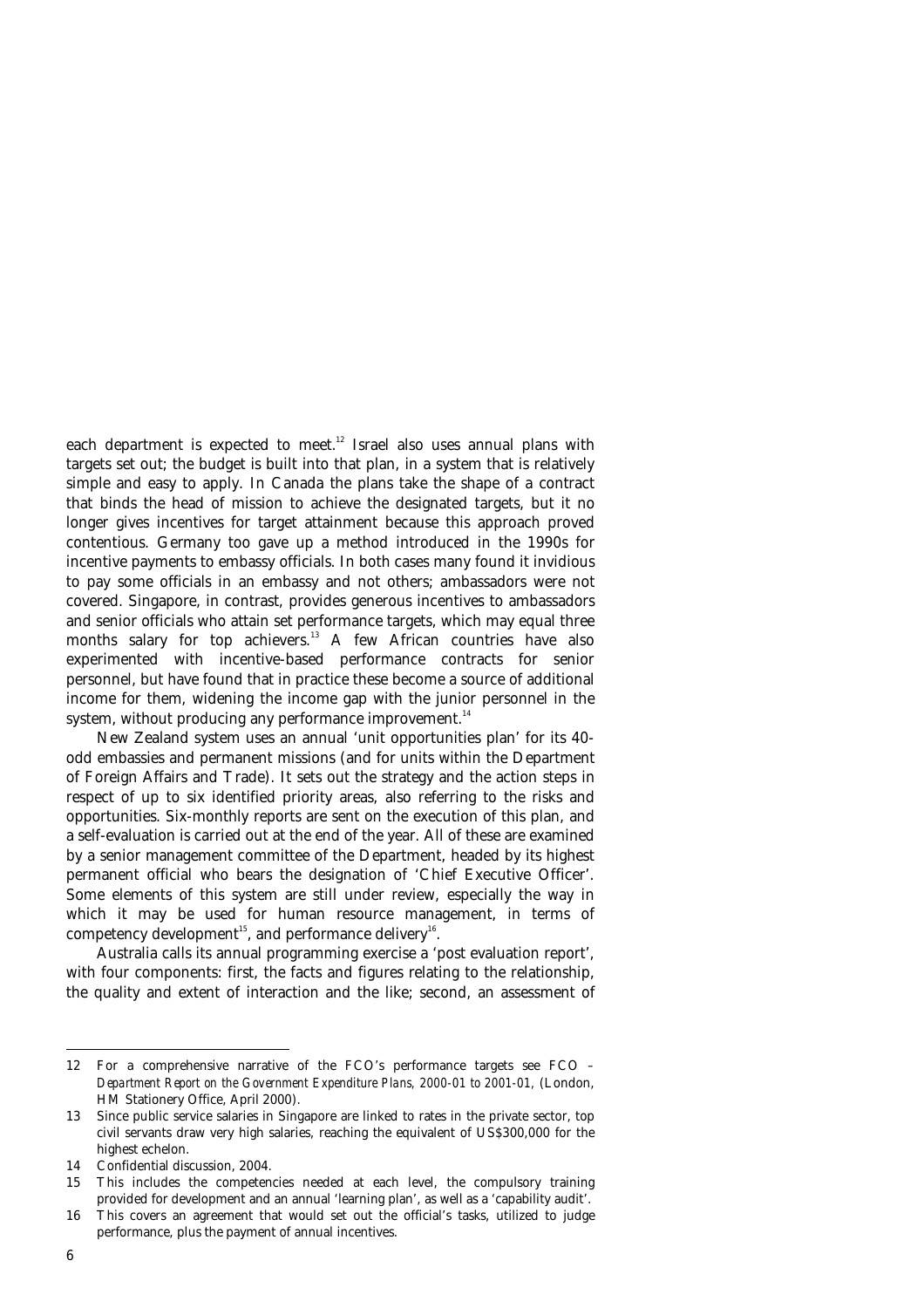each department is expected to meet.<sup>12</sup> Israel also uses annual plans with targets set out; the budget is built into that plan, in a system that is relatively simple and easy to apply. In Canada the plans take the shape of a contract that binds the head of mission to achieve the designated targets, but it no longer gives incentives for target attainment because this approach proved contentious. Germany too gave up a method introduced in the 1990s for incentive payments to embassy officials. In both cases many found it invidious to pay some officials in an embassy and not others; ambassadors were not covered. Singapore, in contrast, provides generous incentives to ambassadors and senior officials who attain set performance targets, which may equal three months salary for top achievers.<sup>13</sup> A few African countries have also experimented with incentive-based performance contracts for senior personnel, but have found that in practice these become a source of additional income for them, widening the income gap with the junior personnel in the system, without producing any performance improvement.<sup>14</sup>

 New Zealand system uses an annual 'unit opportunities plan' for its 40 odd embassies and permanent missions (and for units within the Department of Foreign Affairs and Trade). It sets out the strategy and the action steps in respect of up to six identified priority areas, also referring to the risks and opportunities. Six-monthly reports are sent on the execution of this plan, and a self-evaluation is carried out at the end of the year. All of these are examined by a senior management committee of the Department, headed by its highest permanent official who bears the designation of 'Chief Executive Officer'. Some elements of this system are still under review, especially the way in which it may be used for human resource management, in terms of competency development<sup>15</sup>, and performance delivery<sup>16</sup>.

 Australia calls its annual programming exercise a 'post evaluation report', with four components: first, the facts and figures relating to the relationship, the quality and extent of interaction and the like; second, an assessment of

<sup>12</sup> For a comprehensive narrative of the FCO's performance targets see FCO *– Department Report on the Government Expenditure Plans, 2000-01 to 2001-01, (London,* HM Stationery Office, April 2000).

<sup>13</sup> Since public service salaries in Singapore are linked to rates in the private sector, top civil servants draw very high salaries, reaching the equivalent of US\$300,000 for the highest echelon.

<sup>14</sup> Confidential discussion, 2004.

<sup>15</sup> This includes the competencies needed at each level, the compulsory training provided for development and an annual 'learning plan', as well as a 'capability audit'.

<sup>16</sup> This covers an agreement that would set out the official's tasks, utilized to judge performance, plus the payment of annual incentives.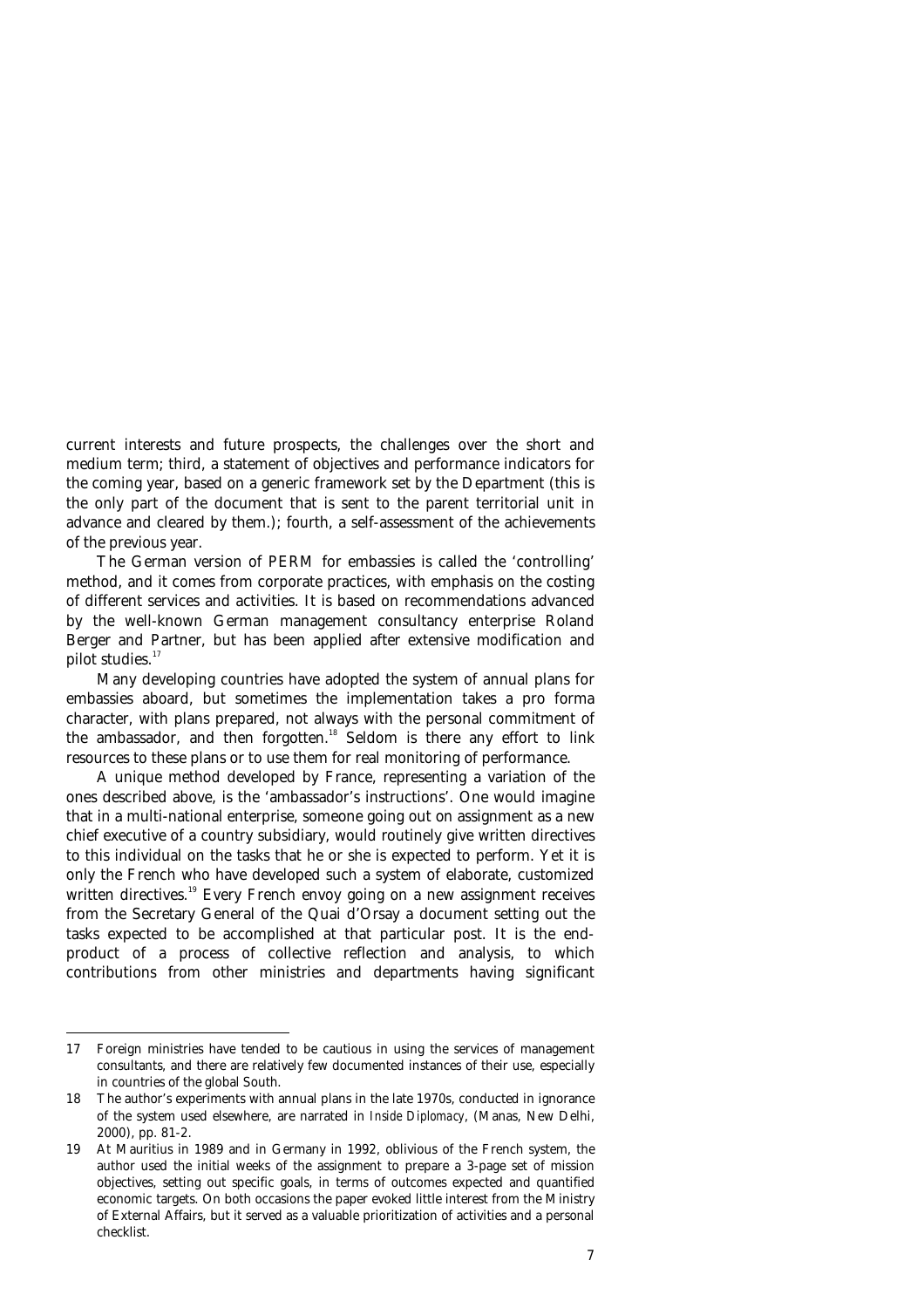current interests and future prospects, the challenges over the short and medium term; third, a statement of objectives and performance indicators for the coming year, based on a generic framework set by the Department (this is the only part of the document that is sent to the parent territorial unit in advance and cleared by them.); fourth, a self-assessment of the achievements of the previous year.

 The German version of PERM for embassies is called the 'controlling' method, and it comes from corporate practices, with emphasis on the costing of different services and activities. It is based on recommendations advanced by the well-known German management consultancy enterprise Roland Berger and Partner, but has been applied after extensive modification and pilot studies.<sup>17</sup>

 Many developing countries have adopted the system of annual plans for embassies aboard, but sometimes the implementation takes a pro forma character, with plans prepared, not always with the personal commitment of the ambassador, and then forgotten.<sup>18</sup> Seldom is there any effort to link resources to these plans or to use them for real monitoring of performance.

 A unique method developed by France, representing a variation of the ones described above, is the 'ambassador's instructions'. One would imagine that in a multi-national enterprise, someone going out on assignment as a new chief executive of a country subsidiary, would routinely give written directives to this individual on the tasks that he or she is expected to perform. Yet it is only the French who have developed such a system of elaborate, customized written directives.<sup>19</sup> Every French envoy going on a new assignment receives from the Secretary General of the Quai d'Orsay a document setting out the tasks expected to be accomplished at that particular post. It is the endproduct of a process of collective reflection and analysis, to which contributions from other ministries and departments having significant

<sup>17</sup> Foreign ministries have tended to be cautious in using the services of management consultants, and there are relatively few documented instances of their use, especially in countries of the global South.

<sup>18</sup> The author's experiments with annual plans in the late 1970s, conducted in ignorance of the system used elsewhere, are narrated in *Inside Diplomacy*, (Manas, New Delhi, 2000), pp. 81-2.

<sup>19</sup> At Mauritius in 1989 and in Germany in 1992, oblivious of the French system, the author used the initial weeks of the assignment to prepare a 3-page set of mission objectives, setting out specific goals, in terms of outcomes expected and quantified economic targets. On both occasions the paper evoked little interest from the Ministry of External Affairs, but it served as a valuable prioritization of activities and a personal checklist.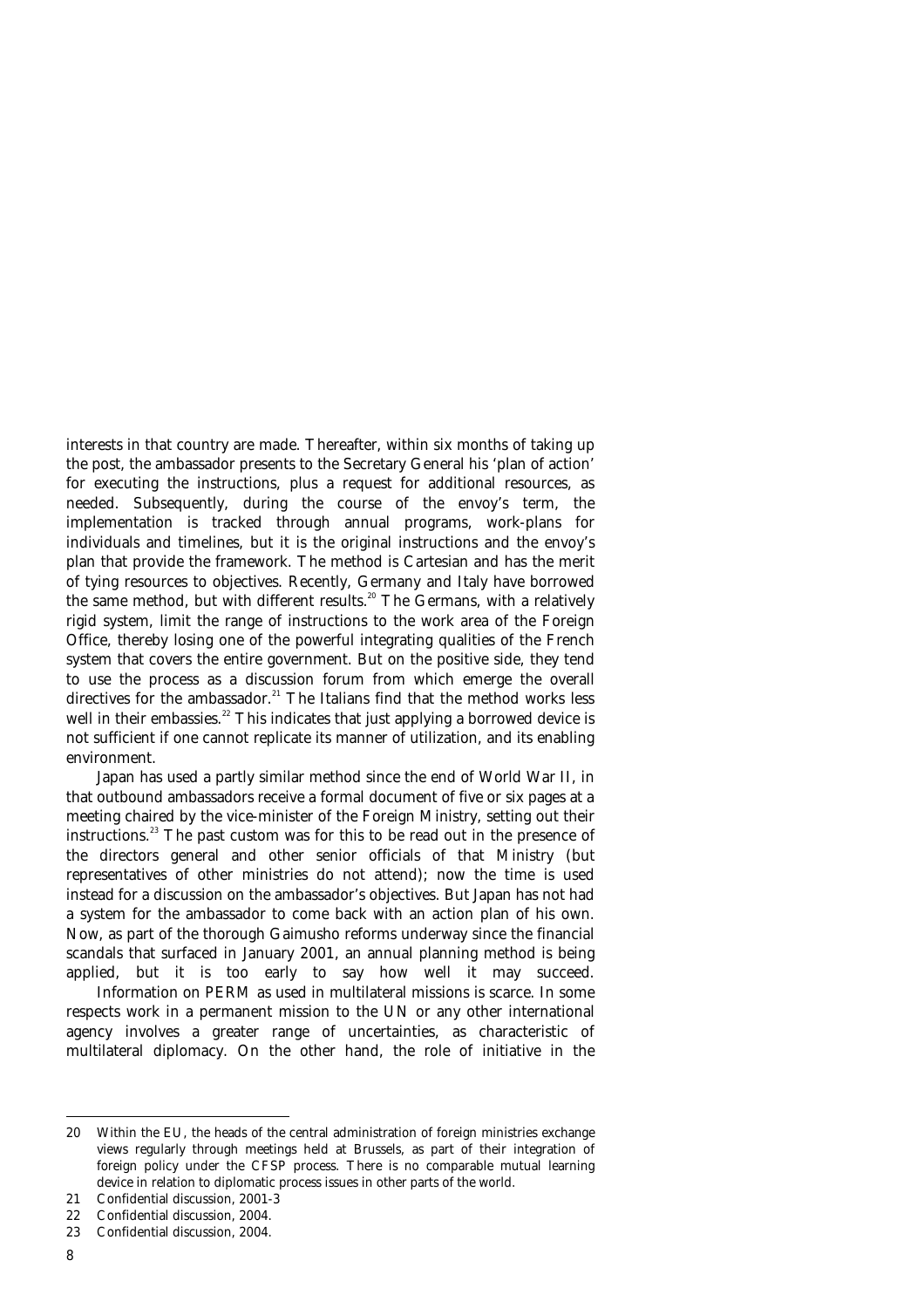interests in that country are made. Thereafter, within six months of taking up the post, the ambassador presents to the Secretary General his 'plan of action' for executing the instructions, plus a request for additional resources, as needed. Subsequently, during the course of the envoy's term, the implementation is tracked through annual programs, work-plans for individuals and timelines, but it is the original instructions and the envoy's plan that provide the framework. The method is Cartesian and has the merit of tying resources to objectives. Recently, Germany and Italy have borrowed the same method, but with different results.<sup>20</sup> The Germans, with a relatively rigid system, limit the range of instructions to the work area of the Foreign Office, thereby losing one of the powerful integrating qualities of the French system that covers the entire government. But on the positive side, they tend to use the process as a discussion forum from which emerge the overall directives for the ambassador.<sup>21</sup> The Italians find that the method works less well in their embassies. $22$  This indicates that just applying a borrowed device is not sufficient if one cannot replicate its manner of utilization, and its enabling environment.

 Japan has used a partly similar method since the end of World War II, in that outbound ambassadors receive a formal document of five or six pages at a meeting chaired by the vice-minister of the Foreign Ministry, setting out their instructions.23 The past custom was for this to be read out in the presence of the directors general and other senior officials of that Ministry (but representatives of other ministries do not attend); now the time is used instead for a discussion on the ambassador's objectives. But Japan has not had a system for the ambassador to come back with an action plan of his own. Now, as part of the thorough Gaimusho reforms underway since the financial scandals that surfaced in January 2001, an annual planning method is being applied, but it is too early to say how well it may succeed.

 Information on PERM as used in multilateral missions is scarce. In some respects work in a permanent mission to the UN or any other international agency involves a greater range of uncertainties, as characteristic of multilateral diplomacy. On the other hand, the role of initiative in the

<sup>20</sup> Within the EU, the heads of the central administration of foreign ministries exchange views regularly through meetings held at Brussels, as part of their integration of foreign policy under the CFSP process. There is no comparable mutual learning device in relation to diplomatic process issues in other parts of the world.

<sup>21</sup> Confidential discussion, 2001-3

<sup>22</sup> Confidential discussion, 2004.

<sup>23</sup> Confidential discussion, 2004.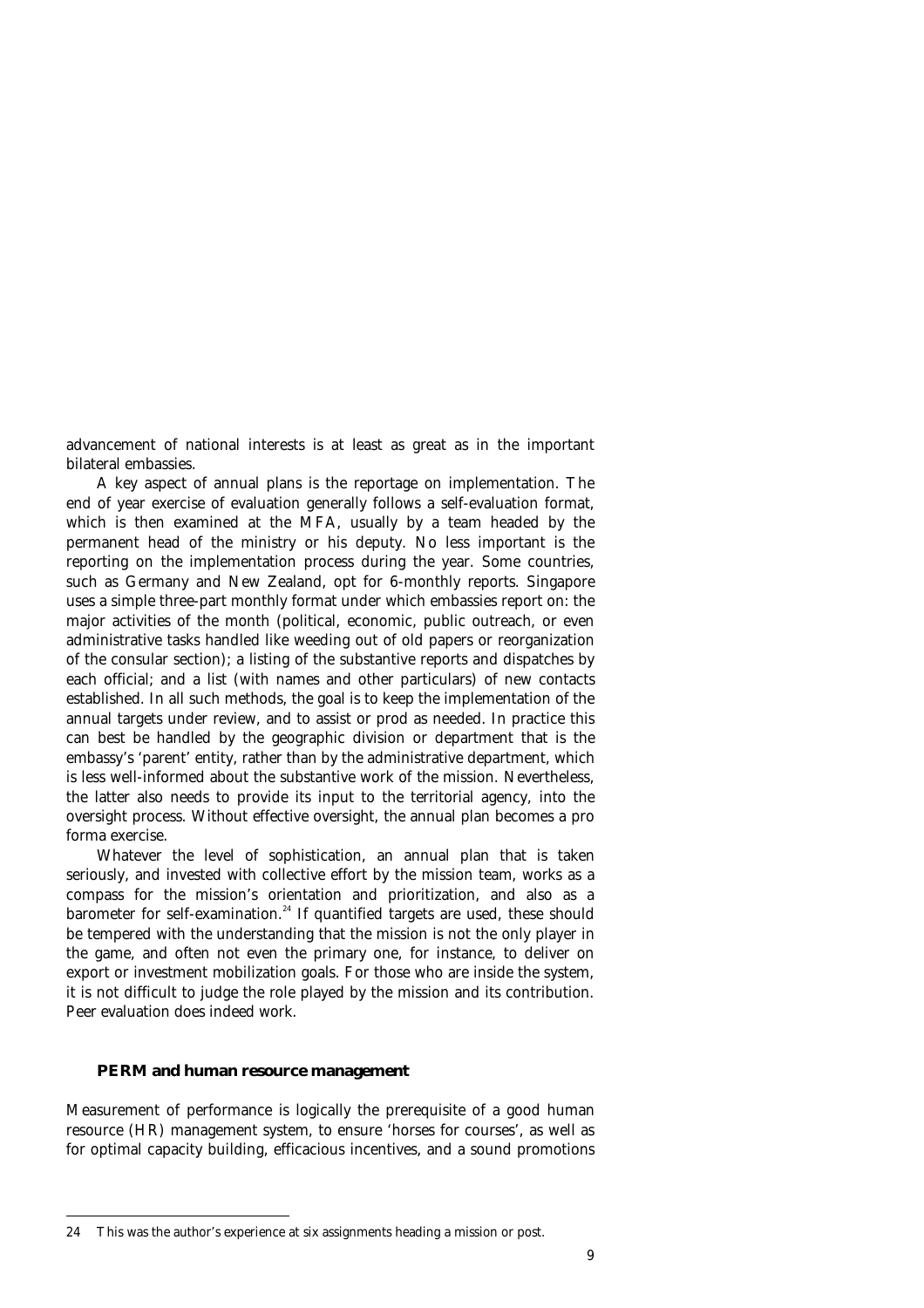advancement of national interests is at least as great as in the important bilateral embassies.

 A key aspect of annual plans is the reportage on implementation. The end of year exercise of evaluation generally follows a self-evaluation format, which is then examined at the MFA, usually by a team headed by the permanent head of the ministry or his deputy. No less important is the reporting on the implementation process during the year. Some countries, such as Germany and New Zealand, opt for 6-monthly reports. Singapore uses a simple three-part monthly format under which embassies report on: the major activities of the month (political, economic, public outreach, or even administrative tasks handled like weeding out of old papers or reorganization of the consular section); a listing of the substantive reports and dispatches by each official; and a list (with names and other particulars) of new contacts established. In all such methods, the goal is to keep the implementation of the annual targets under review, and to assist or prod as needed. In practice this can best be handled by the geographic division or department that is the embassy's 'parent' entity, rather than by the administrative department, which is less well-informed about the substantive work of the mission. Nevertheless, the latter also needs to provide its input to the territorial agency, into the oversight process. Without effective oversight, the annual plan becomes a pro forma exercise.

 Whatever the level of sophistication, an annual plan that is taken seriously, and invested with collective effort by the mission team, works as a compass for the mission's orientation and prioritization, and also as a barometer for self-examination.<sup>24</sup> If quantified targets are used, these should be tempered with the understanding that the mission is not the only player in the game, and often not even the primary one, for instance, to deliver on export or investment mobilization goals. For those who are inside the system, it is not difficult to judge the role played by the mission and its contribution. Peer evaluation does indeed work.

### *PERM and human resource management*

 $\overline{a}$ 

Measurement of performance is logically the prerequisite of a good human resource (HR) management system, to ensure 'horses for courses', as well as for optimal capacity building, efficacious incentives, and a sound promotions

<sup>24</sup> This was the author's experience at six assignments heading a mission or post.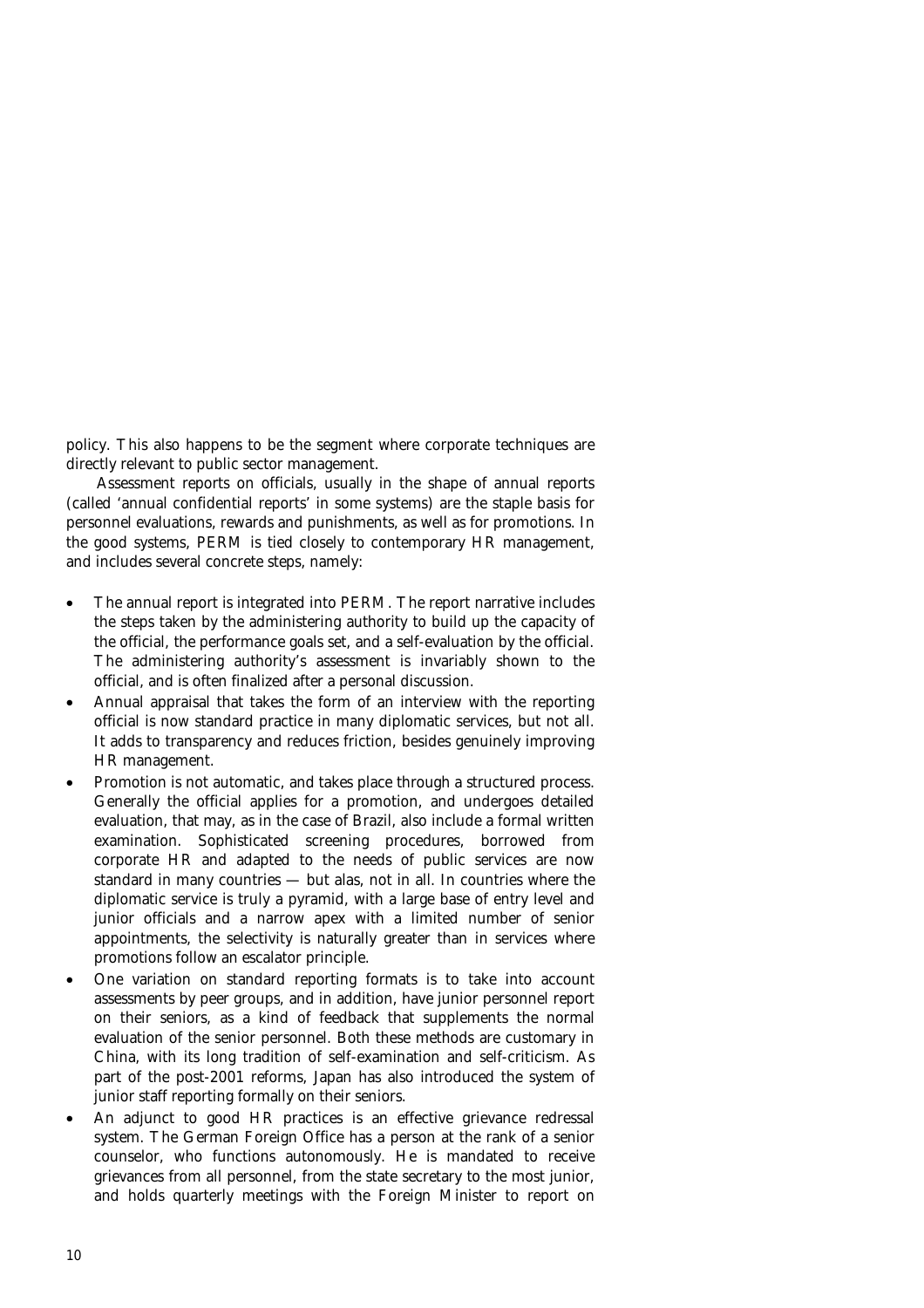policy. This also happens to be the segment where corporate techniques are directly relevant to public sector management.

 Assessment reports on officials, usually in the shape of annual reports (called 'annual confidential reports' in some systems) are the staple basis for personnel evaluations, rewards and punishments, as well as for promotions. In the good systems, PERM is tied closely to contemporary HR management, and includes several concrete steps, namely:

- $\bullet$  The annual report is integrated into PERM. The report narrative includes the steps taken by the administering authority to build up the capacity of the official, the performance goals set, and a self-evaluation by the official. The administering authority's assessment is invariably shown to the official, and is often finalized after a personal discussion.
- $\bullet$  Annual appraisal that takes the form of an interview with the reporting official is now standard practice in many diplomatic services, but not all. It adds to transparency and reduces friction, besides genuinely improving HR management.
- - Promotion is not automatic, and takes place through a structured process. Generally the official applies for a promotion, and undergoes detailed evaluation, that may, as in the case of Brazil, also include a formal written examination. Sophisticated screening procedures, borrowed from corporate HR and adapted to the needs of public services are now standard in many countries — but alas, not in all. In countries where the diplomatic service is truly a pyramid, with a large base of entry level and junior officials and a narrow apex with a limited number of senior appointments, the selectivity is naturally greater than in services where promotions follow an escalator principle.
- - One variation on standard reporting formats is to take into account assessments by peer groups, and in addition, have junior personnel report on their seniors, as a kind of feedback that supplements the normal evaluation of the senior personnel. Both these methods are customary in China, with its long tradition of self-examination and self-criticism. As part of the post-2001 reforms, Japan has also introduced the system of junior staff reporting formally on their seniors.
- $\bullet$  An adjunct to good HR practices is an effective grievance redressal system. The German Foreign Office has a person at the rank of a senior counselor, who functions autonomously. He is mandated to receive grievances from all personnel, from the state secretary to the most junior, and holds quarterly meetings with the Foreign Minister to report on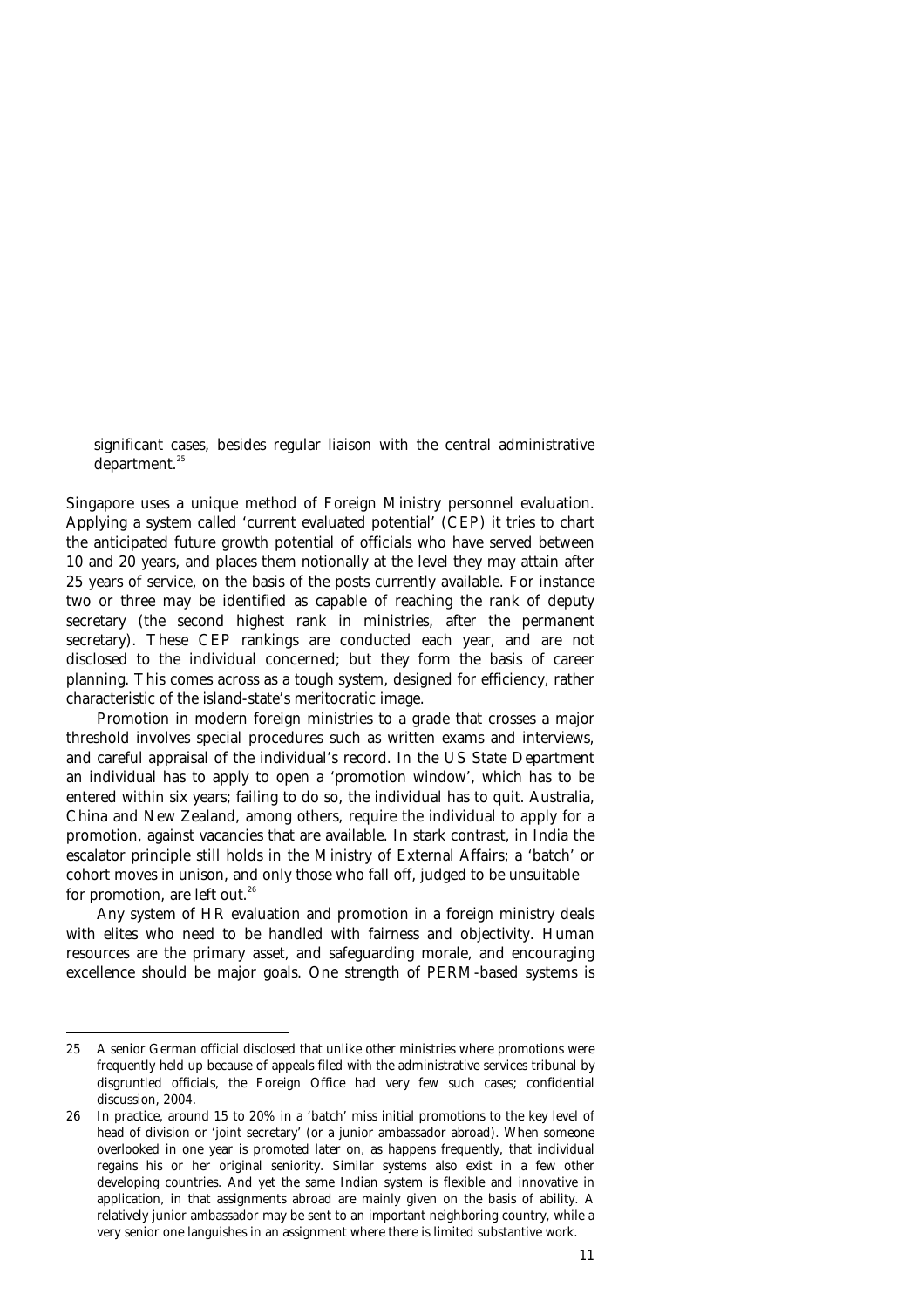significant cases, besides regular liaison with the central administrative department.<sup>25</sup>

Singapore uses a unique method of Foreign Ministry personnel evaluation. Applying a system called 'current evaluated potential' (CEP) it tries to chart the anticipated future growth potential of officials who have served between 10 and 20 years, and places them notionally at the level they may attain after 25 years of service, on the basis of the posts currently available. For instance two or three may be identified as capable of reaching the rank of deputy secretary (the second highest rank in ministries, after the permanent secretary). These CEP rankings are conducted each year, and are not disclosed to the individual concerned; but they form the basis of career planning. This comes across as a tough system, designed for efficiency, rather characteristic of the island-state's meritocratic image.

 Promotion in modern foreign ministries to a grade that crosses a major threshold involves special procedures such as written exams and interviews, and careful appraisal of the individual's record. In the US State Department an individual has to apply to open a 'promotion window', which has to be entered within six years; failing to do so, the individual has to quit. Australia, China and New Zealand, among others, require the individual to apply for a promotion, against vacancies that are available. In stark contrast, in India the escalator principle still holds in the Ministry of External Affairs; a 'batch' or cohort moves in unison, and only those who fall off, judged to be unsuitable for promotion, are left out.<sup>26</sup>

 Any system of HR evaluation and promotion in a foreign ministry deals with elites who need to be handled with fairness and objectivity. Human resources are the primary asset, and safeguarding morale, and encouraging excellence should be major goals. One strength of PERM-based systems is

<sup>25</sup> A senior German official disclosed that unlike other ministries where promotions were frequently held up because of appeals filed with the administrative services tribunal by disgruntled officials, the Foreign Office had very few such cases; confidential discussion, 2004.

<sup>26</sup> In practice, around 15 to 20% in a 'batch' miss initial promotions to the key level of head of division or 'joint secretary' (or a junior ambassador abroad). When someone overlooked in one year is promoted later on, as happens frequently, that individual regains his or her original seniority. Similar systems also exist in a few other developing countries. And yet the same Indian system is flexible and innovative in application, in that assignments abroad are mainly given on the basis of ability. A relatively junior ambassador may be sent to an important neighboring country, while a very senior one languishes in an assignment where there is limited substantive work.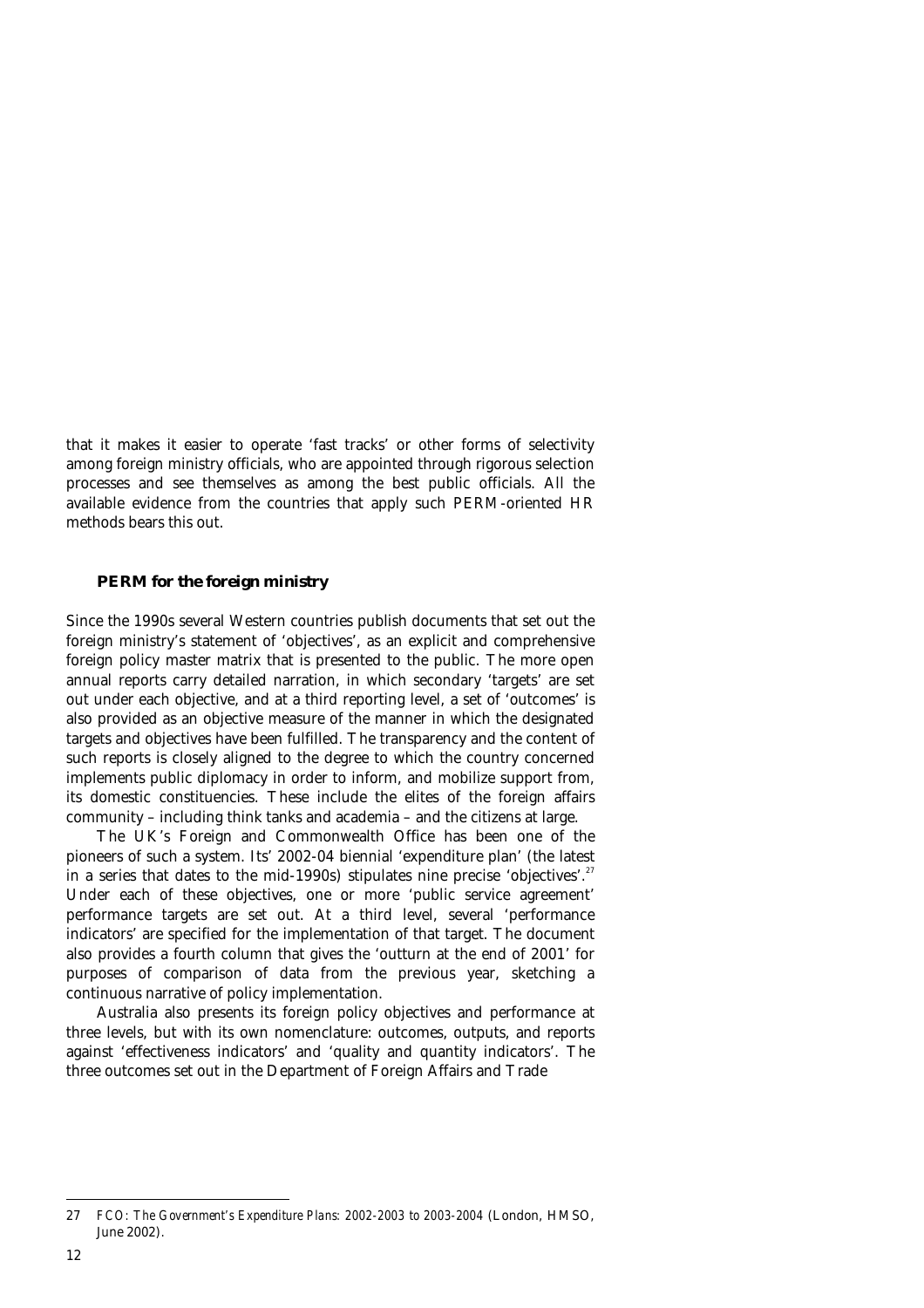that it makes it easier to operate 'fast tracks' or other forms of selectivity among foreign ministry officials, who are appointed through rigorous selection processes and see themselves as among the best public officials. All the available evidence from the countries that apply such PERM-oriented HR methods bears this out.

#### *PERM for the foreign ministry*

Since the 1990s several Western countries publish documents that set out the foreign ministry's statement of 'objectives', as an explicit and comprehensive foreign policy master matrix that is presented to the public. The more open annual reports carry detailed narration, in which secondary 'targets' are set out under each objective, and at a third reporting level, a set of 'outcomes' is also provided as an objective measure of the manner in which the designated targets and objectives have been fulfilled. The transparency and the content of such reports is closely aligned to the degree to which the country concerned implements public diplomacy in order to inform, and mobilize support from, its domestic constituencies. These include the elites of the foreign affairs community – including think tanks and academia – and the citizens at large.

 The UK's Foreign and Commonwealth Office has been one of the pioneers of such a system. Its' 2002-04 biennial 'expenditure plan' (the latest in a series that dates to the mid-1990s) stipulates nine precise 'objectives'.<sup>27</sup> Under each of these objectives, one or more 'public service agreement' performance targets are set out. At a third level, several 'performance indicators' are specified for the implementation of that target. The document also provides a fourth column that gives the 'outturn at the end of 2001' for purposes of comparison of data from the previous year, sketching a continuous narrative of policy implementation.

 Australia also presents its foreign policy objectives and performance at three levels, but with its own nomenclature: outcomes, outputs, and reports against 'effectiveness indicators' and 'quality and quantity indicators'. The three outcomes set out in the Department of Foreign Affairs and Trade

<sup>27</sup> *FCO: The Government's Expenditure Plans: 2002-2003 to 2003-2004* (London, HMSO, June 2002).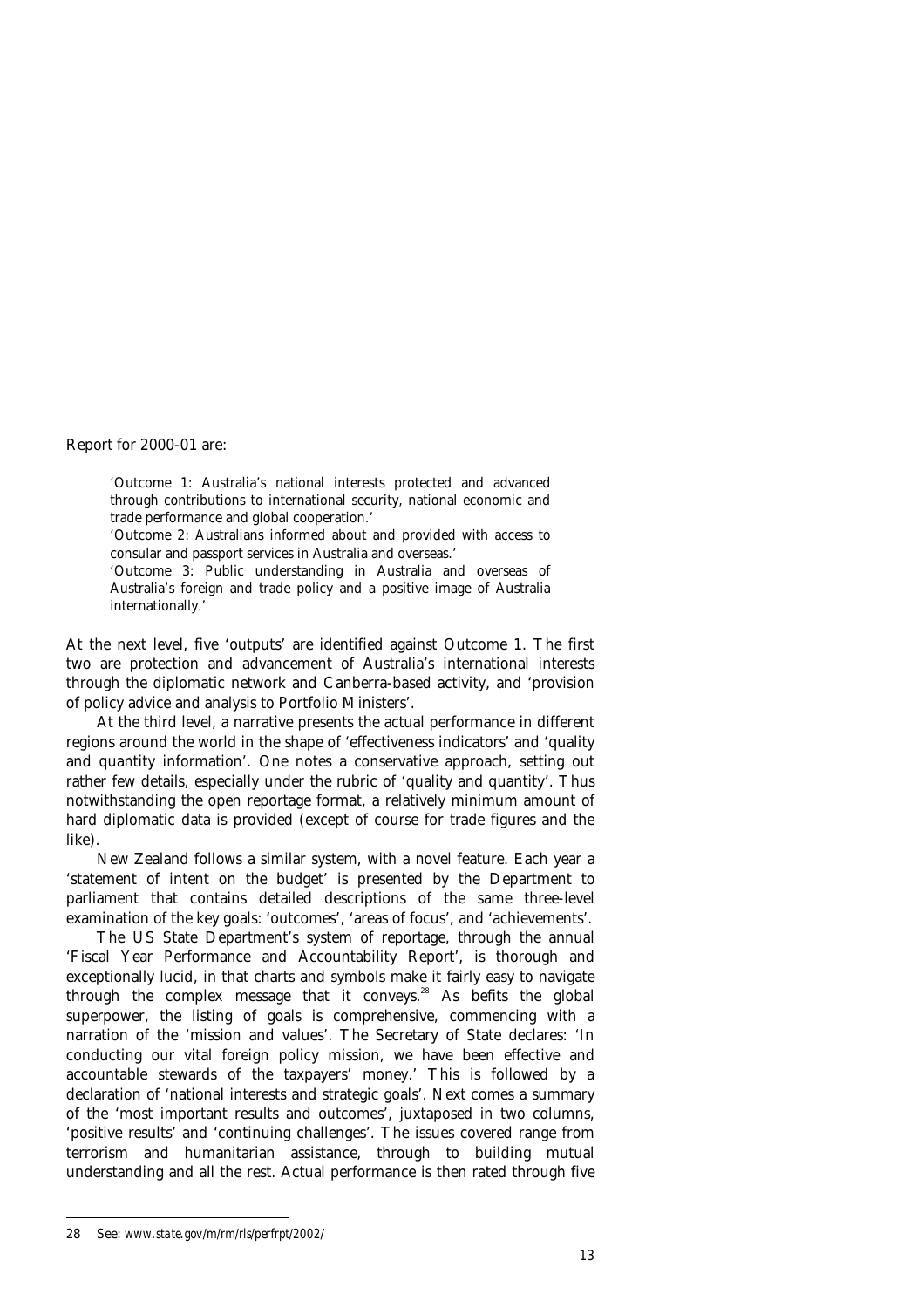Report for 2000-01 are:

'Outcome 1: Australia's national interests protected and advanced through contributions to international security, national economic and trade performance and global cooperation.'

'Outcome 2: Australians informed about and provided with access to consular and passport services in Australia and overseas.'

'Outcome 3: Public understanding in Australia and overseas of Australia's foreign and trade policy and a positive image of Australia internationally.'

At the next level, five 'outputs' are identified against Outcome 1. The first two are protection and advancement of Australia's international interests through the diplomatic network and Canberra-based activity, and 'provision of policy advice and analysis to Portfolio Ministers'.

 At the third level, a narrative presents the actual performance in different regions around the world in the shape of 'effectiveness indicators' and 'quality and quantity information'. One notes a conservative approach, setting out rather few details, especially under the rubric of 'quality and quantity'. Thus notwithstanding the open reportage format, a relatively minimum amount of hard diplomatic data is provided (except of course for trade figures and the like).

 New Zealand follows a similar system, with a novel feature. Each year a 'statement of intent on the budget' is presented by the Department to parliament that contains detailed descriptions of the same three-level examination of the key goals: 'outcomes', 'areas of focus', and 'achievements'.

 The US State Department's system of reportage, through the annual 'Fiscal Year Performance and Accountability Report', is thorough and exceptionally lucid, in that charts and symbols make it fairly easy to navigate through the complex message that it conveys.<sup>28</sup> As befits the global superpower, the listing of goals is comprehensive, commencing with a narration of the 'mission and values'. The Secretary of State declares: 'In conducting our vital foreign policy mission, we have been effective and accountable stewards of the taxpayers' money.' This is followed by a declaration of 'national interests and strategic goals'. Next comes a summary of the 'most important results and outcomes', juxtaposed in two columns, 'positive results' and 'continuing challenges'. The issues covered range from terrorism and humanitarian assistance, through to building mutual understanding and all the rest. Actual performance is then rated through five

 $\overline{a}$ 28 See: *www.state.gov/m/rm/rls/perfrpt/2002*/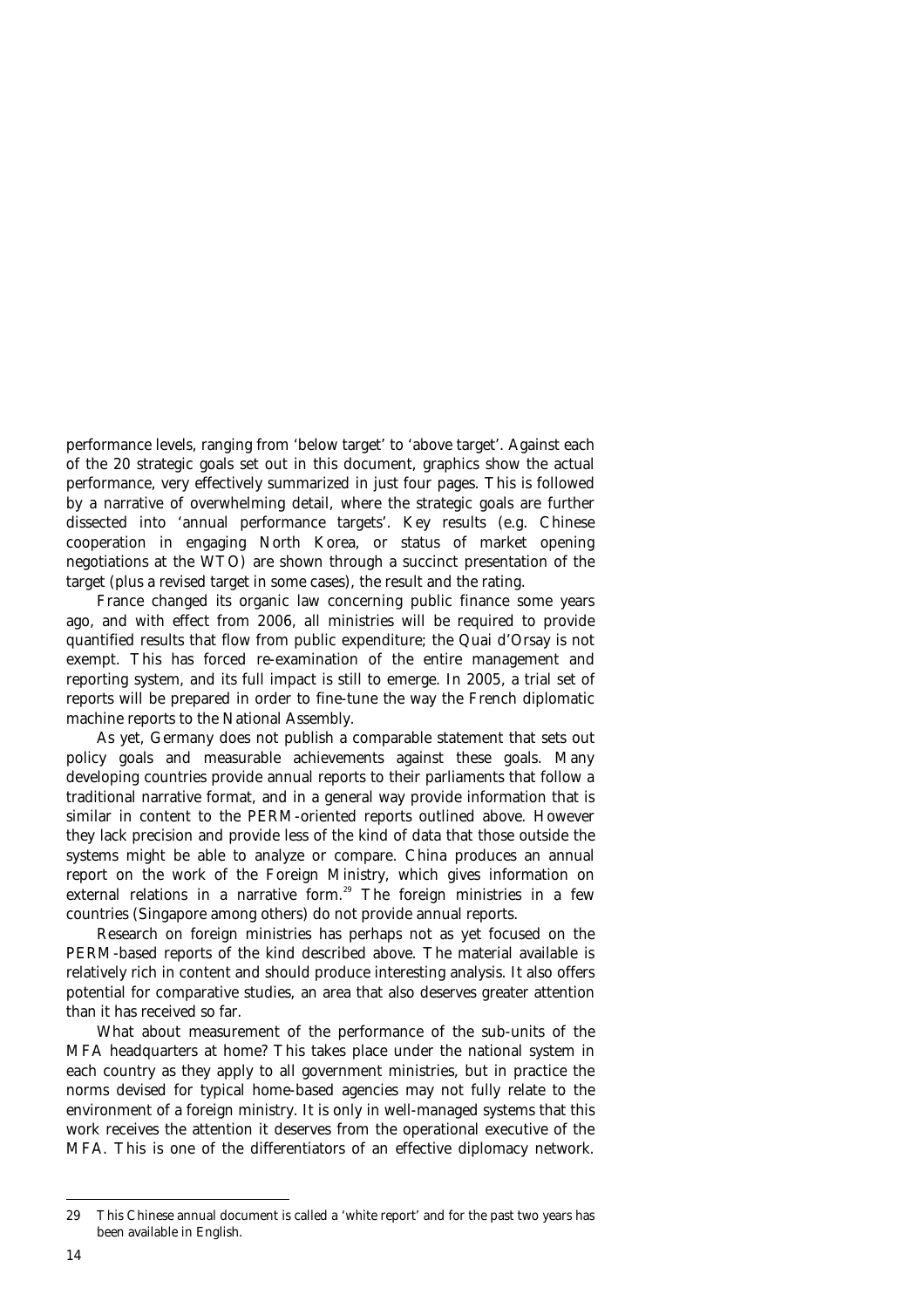performance levels, ranging from 'below target' to 'above target'. Against each of the 20 strategic goals set out in this document, graphics show the actual performance, very effectively summarized in just four pages. This is followed by a narrative of overwhelming detail, where the strategic goals are further dissected into 'annual performance targets'. Key results (e.g. Chinese cooperation in engaging North Korea, or status of market opening negotiations at the WTO) are shown through a succinct presentation of the target (plus a revised target in some cases), the result and the rating.

 France changed its organic law concerning public finance some years ago, and with effect from 2006, all ministries will be required to provide quantified results that flow from public expenditure; the Quai d'Orsay is not exempt. This has forced re-examination of the entire management and reporting system, and its full impact is still to emerge. In 2005, a trial set of reports will be prepared in order to fine-tune the way the French diplomatic machine reports to the National Assembly.

 As yet, Germany does not publish a comparable statement that sets out policy goals and measurable achievements against these goals. Many developing countries provide annual reports to their parliaments that follow a traditional narrative format, and in a general way provide information that is similar in content to the PERM-oriented reports outlined above. However they lack precision and provide less of the kind of data that those outside the systems might be able to analyze or compare. China produces an annual report on the work of the Foreign Ministry, which gives information on external relations in a narrative form.<sup>29</sup> The foreign ministries in a few countries (Singapore among others) do not provide annual reports.

 Research on foreign ministries has perhaps not as yet focused on the PERM-based reports of the kind described above. The material available is relatively rich in content and should produce interesting analysis. It also offers potential for comparative studies, an area that also deserves greater attention than it has received so far.

 What about measurement of the performance of the sub-units of the MFA headquarters at home? This takes place under the national system in each country as they apply to all government ministries, but in practice the norms devised for typical home-based agencies may not fully relate to the environment of a foreign ministry. It is only in well-managed systems that this work receives the attention it deserves from the operational executive of the MFA. This is one of the differentiators of an effective diplomacy network.

<sup>29</sup> This Chinese annual document is called a 'white report' and for the past two years has been available in English.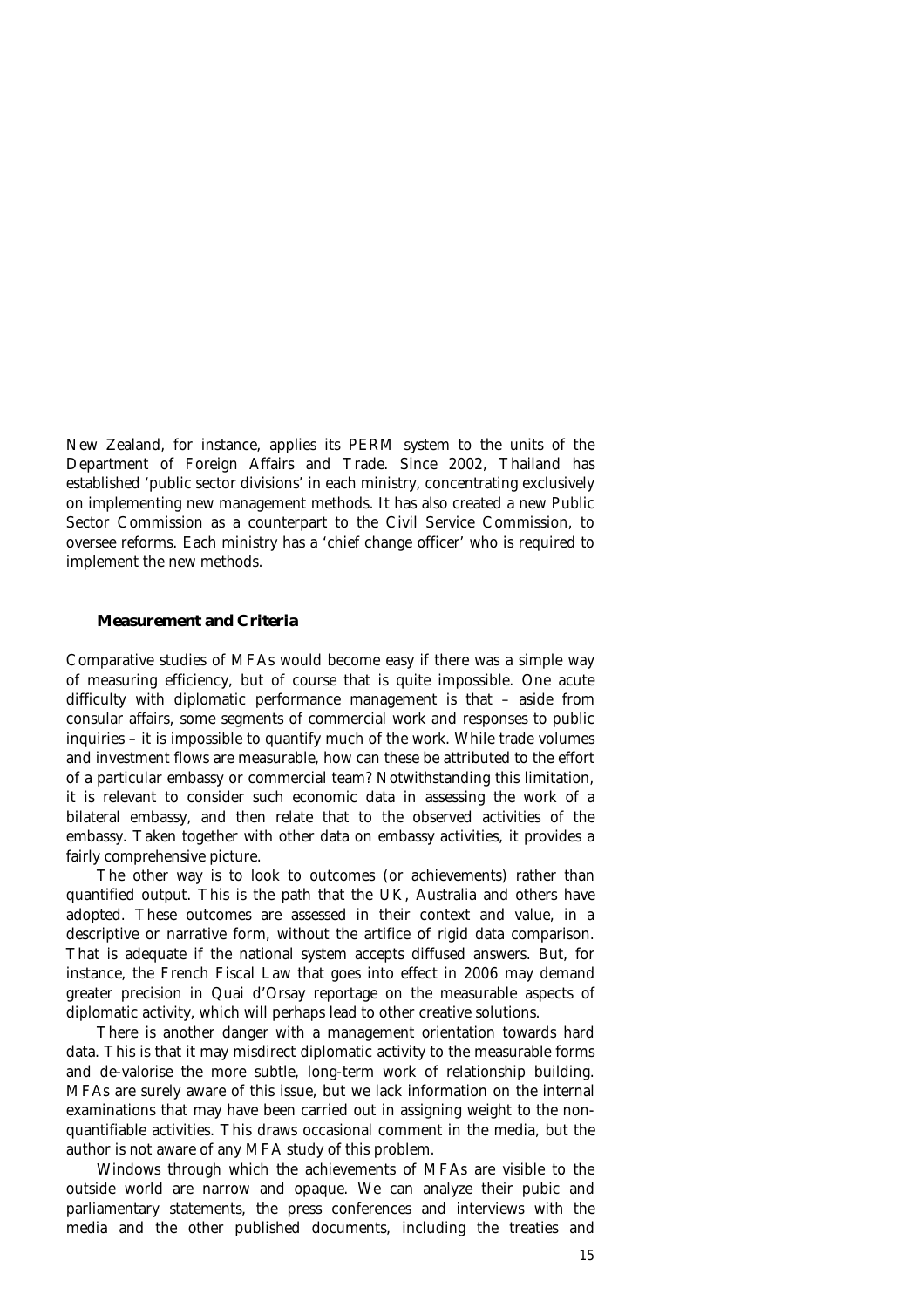New Zealand, for instance, applies its PERM system to the units of the Department of Foreign Affairs and Trade. Since 2002, Thailand has established 'public sector divisions' in each ministry, concentrating exclusively on implementing new management methods. It has also created a new Public Sector Commission as a counterpart to the Civil Service Commission, to oversee reforms. Each ministry has a 'chief change officer' who is required to implement the new methods.

#### *Measurement and Criteria*

Comparative studies of MFAs would become easy if there was a simple way of measuring efficiency, but of course that is quite impossible. One acute difficulty with diplomatic performance management is that – aside from consular affairs, some segments of commercial work and responses to public inquiries – it is impossible to quantify much of the work. While trade volumes and investment flows are measurable, how can these be attributed to the effort of a particular embassy or commercial team? Notwithstanding this limitation, it is relevant to consider such economic data in assessing the work of a bilateral embassy, and then relate that to the observed activities of the embassy. Taken together with other data on embassy activities, it provides a fairly comprehensive picture.

 The other way is to look to outcomes (or achievements) rather than quantified output. This is the path that the UK, Australia and others have adopted. These outcomes are assessed in their context and value, in a descriptive or narrative form, without the artifice of rigid data comparison. That is adequate if the national system accepts diffused answers. But, for instance, the French Fiscal Law that goes into effect in 2006 may demand greater precision in Quai d'Orsay reportage on the measurable aspects of diplomatic activity, which will perhaps lead to other creative solutions.

 There is another danger with a management orientation towards hard data. This is that it may misdirect diplomatic activity to the measurable forms and de-valorise the more subtle, long-term work of relationship building. MFAs are surely aware of this issue, but we lack information on the internal examinations that may have been carried out in assigning weight to the nonquantifiable activities. This draws occasional comment in the media, but the author is not aware of any MFA study of this problem.

 Windows through which the achievements of MFAs are visible to the outside world are narrow and opaque. We can analyze their pubic and parliamentary statements, the press conferences and interviews with the media and the other published documents, including the treaties and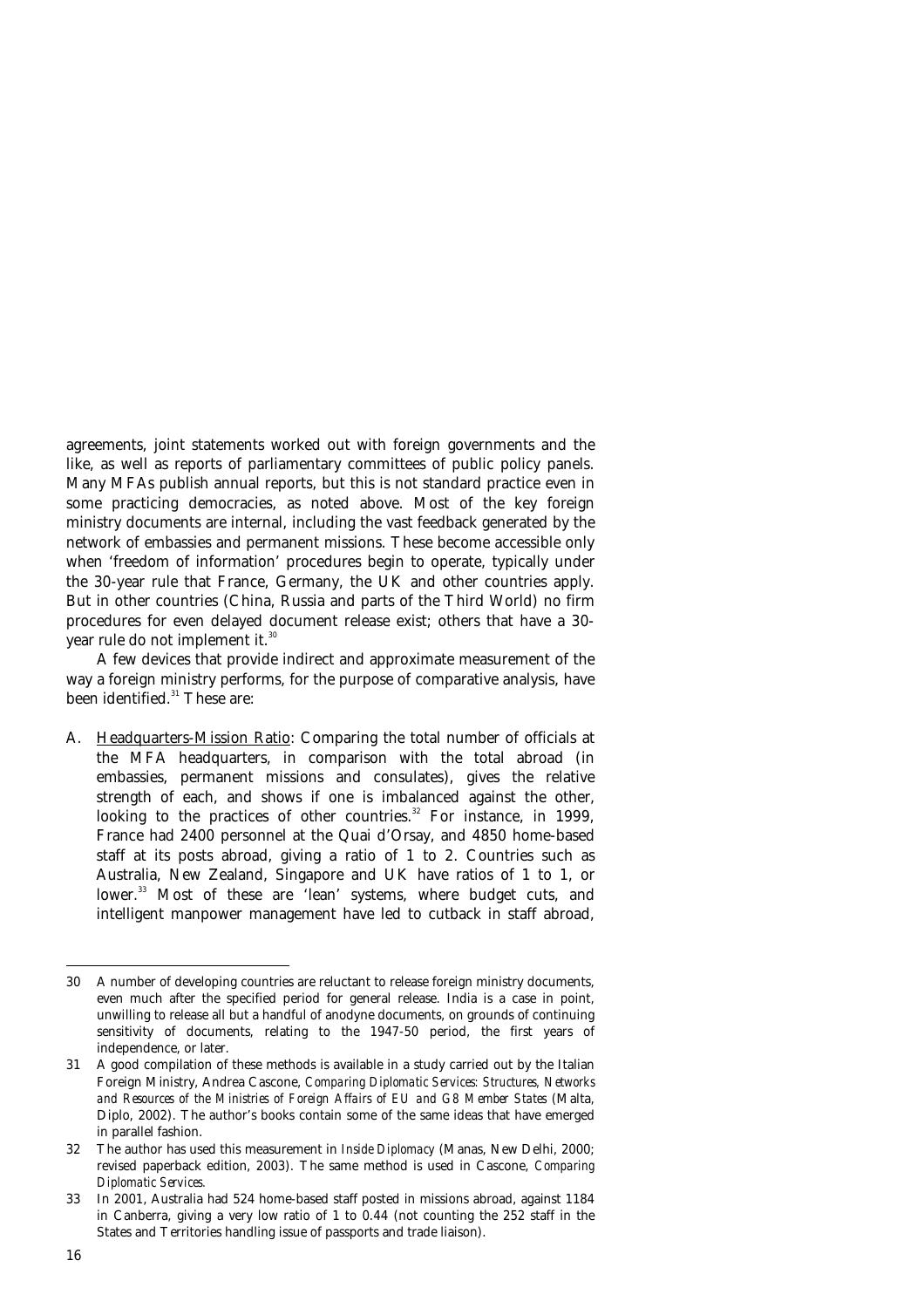agreements, joint statements worked out with foreign governments and the like, as well as reports of parliamentary committees of public policy panels. Many MFAs publish annual reports, but this is not standard practice even in some practicing democracies, as noted above. Most of the key foreign ministry documents are internal, including the vast feedback generated by the network of embassies and permanent missions. These become accessible only when 'freedom of information' procedures begin to operate, typically under the 30-year rule that France, Germany, the UK and other countries apply. But in other countries (China, Russia and parts of the Third World) no firm procedures for even delayed document release exist; others that have a 30 year rule do not implement it.<sup>30</sup>

 A few devices that provide indirect and approximate measurement of the way a foreign ministry performs, for the purpose of comparative analysis, have been identified.<sup>31</sup> These are:

A. Headquarters-Mission Ratio: Comparing the total number of officials at the MFA headquarters, in comparison with the total abroad (in embassies, permanent missions and consulates), gives the relative strength of each, and shows if one is imbalanced against the other, looking to the practices of other countries.<sup>32</sup> For instance, in 1999, France had 2400 personnel at the Quai d'Orsay, and 4850 home-based staff at its posts abroad, giving a ratio of 1 to 2. Countries such as Australia, New Zealand, Singapore and UK have ratios of 1 to 1, or lower.<sup>33</sup> Most of these are 'lean' systems, where budget cuts, and intelligent manpower management have led to cutback in staff abroad,

<sup>30</sup> A number of developing countries are reluctant to release foreign ministry documents, even much after the specified period for general release. India is a case in point, unwilling to release all but a handful of anodyne documents, on grounds of continuing sensitivity of documents, relating to the 1947-50 period, the first years of independence, or later.

<sup>31</sup> A good compilation of these methods is available in a study carried out by the Italian Foreign Ministry, Andrea Cascone, *Comparing Diplomatic Services: Structures, Networks and Resources of the Ministries of Foreign Affairs of EU and G8 Member States* (Malta, Diplo, 2002). The author's books contain some of the same ideas that have emerged in parallel fashion.

<sup>32</sup> The author has used this measurement in *Inside Diplomacy* (Manas, New Delhi, 2000; revised paperback edition, 2003). The same method is used in Cascone, *Comparing Diplomatic Services.* 

<sup>33</sup> In 2001, Australia had 524 home-based staff posted in missions abroad, against 1184 in Canberra, giving a very low ratio of 1 to 0.44 (not counting the 252 staff in the States and Territories handling issue of passports and trade liaison).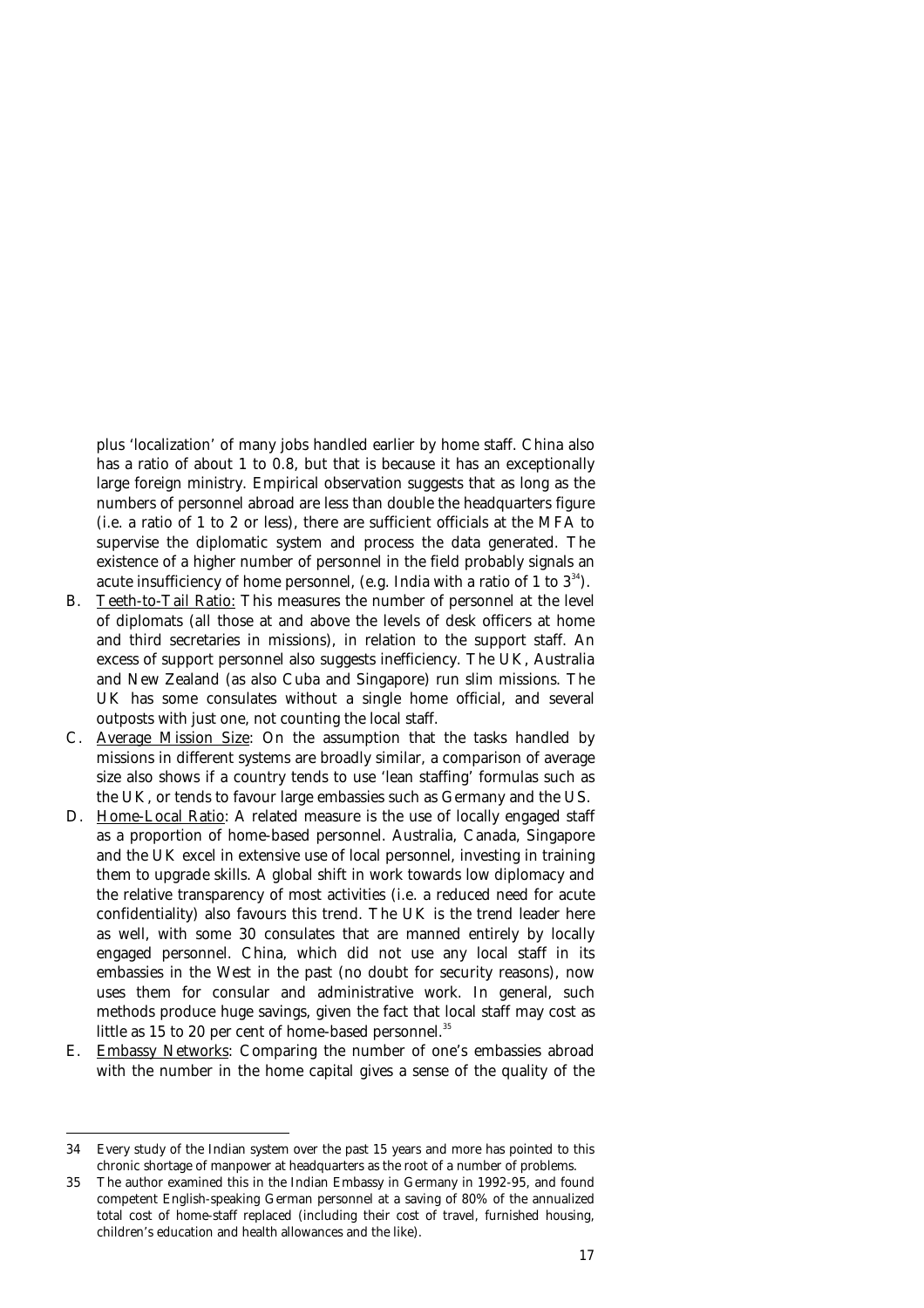plus 'localization' of many jobs handled earlier by home staff. China also has a ratio of about 1 to 0.8, but that is because it has an exceptionally large foreign ministry. Empirical observation suggests that as long as the numbers of personnel abroad are less than double the headquarters figure (i.e. a ratio of 1 to 2 or less), there are sufficient officials at the MFA to supervise the diplomatic system and process the data generated. The existence of a higher number of personnel in the field probably signals an acute insufficiency of home personnel, (e.g. India with a ratio of 1 to  $3^{34}$ ).

- B. Teeth-to-Tail Ratio: This measures the number of personnel at the level of diplomats (all those at and above the levels of desk officers at home and third secretaries in missions), in relation to the support staff. An excess of support personnel also suggests inefficiency. The UK, Australia and New Zealand (as also Cuba and Singapore) run slim missions. The UK has some consulates without a single home official, and several outposts with just one, not counting the local staff.
- C. Average Mission Size: On the assumption that the tasks handled by missions in different systems are broadly similar, a comparison of average size also shows if a country tends to use 'lean staffing' formulas such as the UK, or tends to favour large embassies such as Germany and the US.
- D. Home-Local Ratio: A related measure is the use of locally engaged staff as a proportion of home-based personnel. Australia, Canada, Singapore and the UK excel in extensive use of local personnel, investing in training them to upgrade skills. A global shift in work towards low diplomacy and the relative transparency of most activities (i.e. a reduced need for acute confidentiality) also favours this trend. The UK is the trend leader here as well, with some 30 consulates that are manned entirely by locally engaged personnel. China, which did not use any local staff in its embassies in the West in the past (no doubt for security reasons), now uses them for consular and administrative work. In general, such methods produce huge savings, given the fact that local staff may cost as little as 15 to 20 per cent of home-based personnel.<sup>35</sup>
- E. Embassy Networks: Comparing the number of one's embassies abroad with the number in the home capital gives a sense of the quality of the

<sup>34</sup> Every study of the Indian system over the past 15 years and more has pointed to this chronic shortage of manpower at headquarters as the root of a number of problems.

<sup>35</sup> The author examined this in the Indian Embassy in Germany in 1992-95, and found competent English-speaking German personnel at a saving of 80% of the annualized total cost of home-staff replaced (including their cost of travel, furnished housing, children's education and health allowances and the like).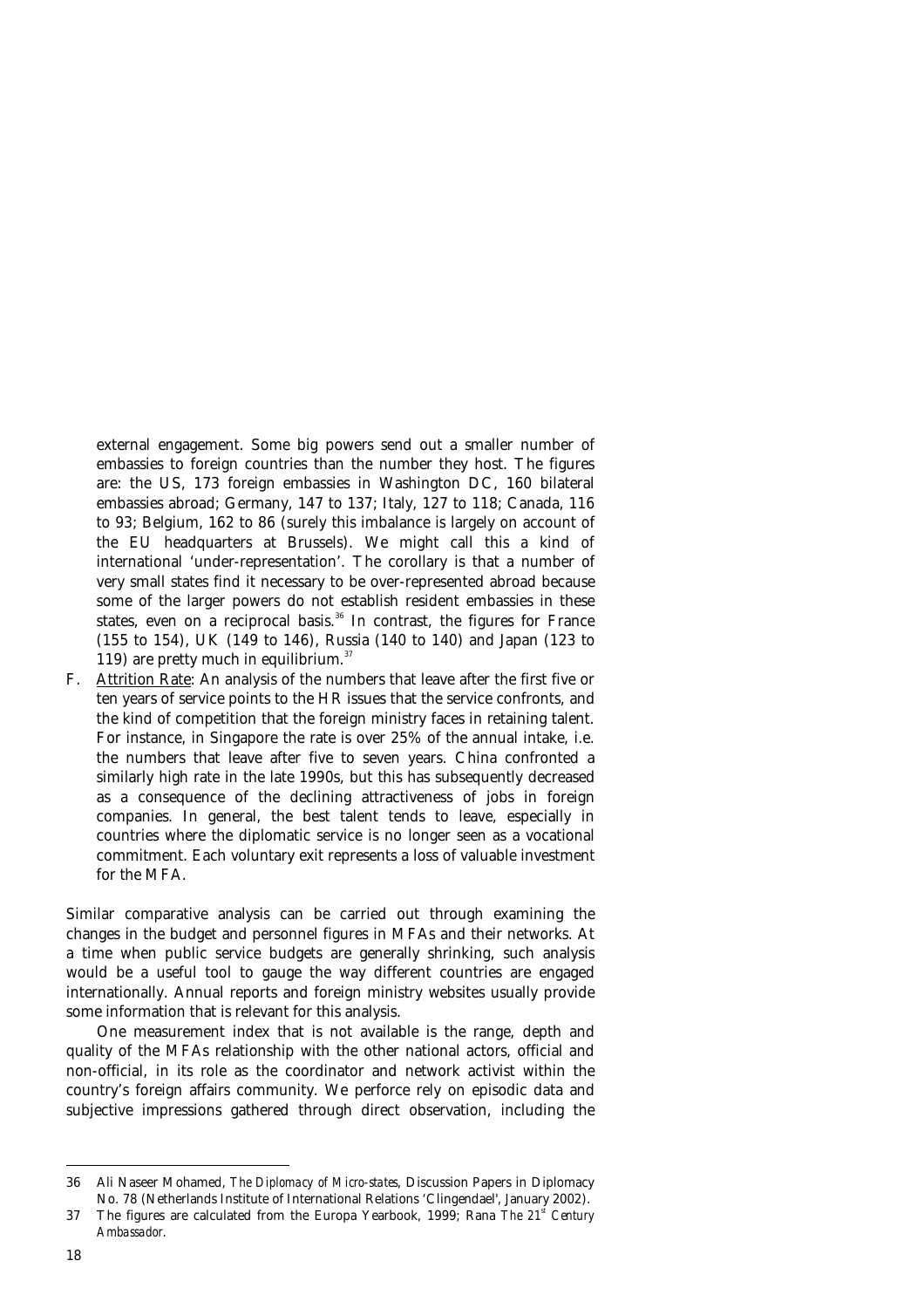external engagement. Some big powers send out a smaller number of embassies to foreign countries than the number they host. The figures are: the US, 173 foreign embassies in Washington DC, 160 bilateral embassies abroad; Germany, 147 to 137; Italy, 127 to 118; Canada, 116 to 93; Belgium, 162 to 86 (surely this imbalance is largely on account of the EU headquarters at Brussels). We might call this a kind of international 'under-representation'. The corollary is that a number of very small states find it necessary to be over-represented abroad because some of the larger powers do not establish resident embassies in these states, even on a reciprocal basis.<sup>36</sup> In contrast, the figures for France (155 to 154), UK (149 to 146), Russia (140 to 140) and Japan (123 to 119) are pretty much in equilibrium. $37$ 

F. Attrition Rate: An analysis of the numbers that leave after the first five or ten years of service points to the HR issues that the service confronts, and the kind of competition that the foreign ministry faces in retaining talent. For instance, in Singapore the rate is over 25% of the annual intake, i.e. the numbers that leave after five to seven years. China confronted a similarly high rate in the late 1990s, but this has subsequently decreased as a consequence of the declining attractiveness of jobs in foreign companies. In general, the best talent tends to leave, especially in countries where the diplomatic service is no longer seen as a vocational commitment. Each voluntary exit represents a loss of valuable investment for the MFA.

Similar comparative analysis can be carried out through examining the changes in the budget and personnel figures in MFAs and their networks. At a time when public service budgets are generally shrinking, such analysis would be a useful tool to gauge the way different countries are engaged internationally. Annual reports and foreign ministry websites usually provide some information that is relevant for this analysis.

 One measurement index that is not available is the range, depth and quality of the MFAs relationship with the other national actors, official and non-official, in its role as the coordinator and network activist within the country's foreign affairs community. We perforce rely on episodic data and subjective impressions gathered through direct observation, including the

<sup>36</sup> Ali Naseer Mohamed, *The Diplomacy of Micro-states*, Discussion Papers in Diplomacy No. 78 (Netherlands Institute of International Relations 'Clingendael', January 2002).

<sup>37</sup> The figures are calculated from the Europa Yearbook, 1999; Rana *The 21<sup>st</sup> Century Ambassador*.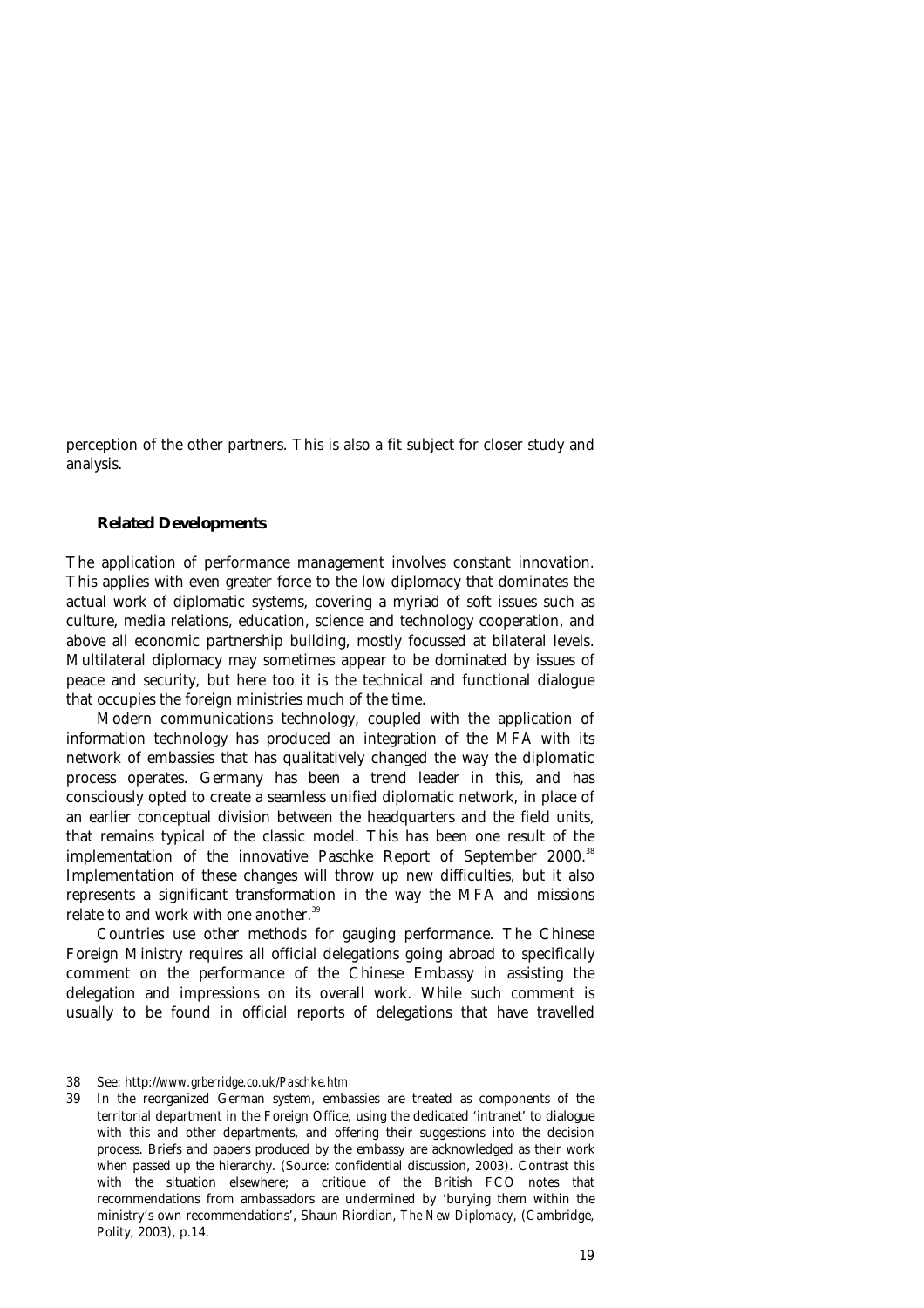perception of the other partners. This is also a fit subject for closer study and analysis.

#### *Related Developments*

The application of performance management involves constant innovation. This applies with even greater force to the low diplomacy that dominates the actual work of diplomatic systems, covering a myriad of soft issues such as culture, media relations, education, science and technology cooperation, and above all economic partnership building, mostly focussed at bilateral levels. Multilateral diplomacy may sometimes appear to be dominated by issues of peace and security, but here too it is the technical and functional dialogue that occupies the foreign ministries much of the time.

 Modern communications technology, coupled with the application of information technology has produced an integration of the MFA with its network of embassies that has qualitatively changed the way the diplomatic process operates. Germany has been a trend leader in this, and has consciously opted to create a seamless unified diplomatic network, in place of an earlier conceptual division between the headquarters and the field units, that remains typical of the classic model. This has been one result of the implementation of the innovative Paschke Report of September 2000.<sup>38</sup> Implementation of these changes will throw up new difficulties, but it also represents a significant transformation in the way the MFA and missions relate to and work with one another.<sup>39</sup>

 Countries use other methods for gauging performance. The Chinese Foreign Ministry requires all official delegations going abroad to specifically comment on the performance of the Chinese Embassy in assisting the delegation and impressions on its overall work. While such comment is usually to be found in official reports of delegations that have travelled

<sup>38</sup> See: http://*www.grberridge.co.uk/Paschke.htm*

<sup>39</sup> In the reorganized German system, embassies are treated as components of the territorial department in the Foreign Office, using the dedicated 'intranet' to dialogue with this and other departments, and offering their suggestions into the decision process. Briefs and papers produced by the embassy are acknowledged as their work when passed up the hierarchy. (Source: confidential discussion, 2003). Contrast this with the situation elsewhere; a critique of the British FCO notes that recommendations from ambassadors are undermined by 'burying them within the ministry's own recommendations', Shaun Riordian, *The New Diplomacy*, (Cambridge, Polity, 2003), p.14.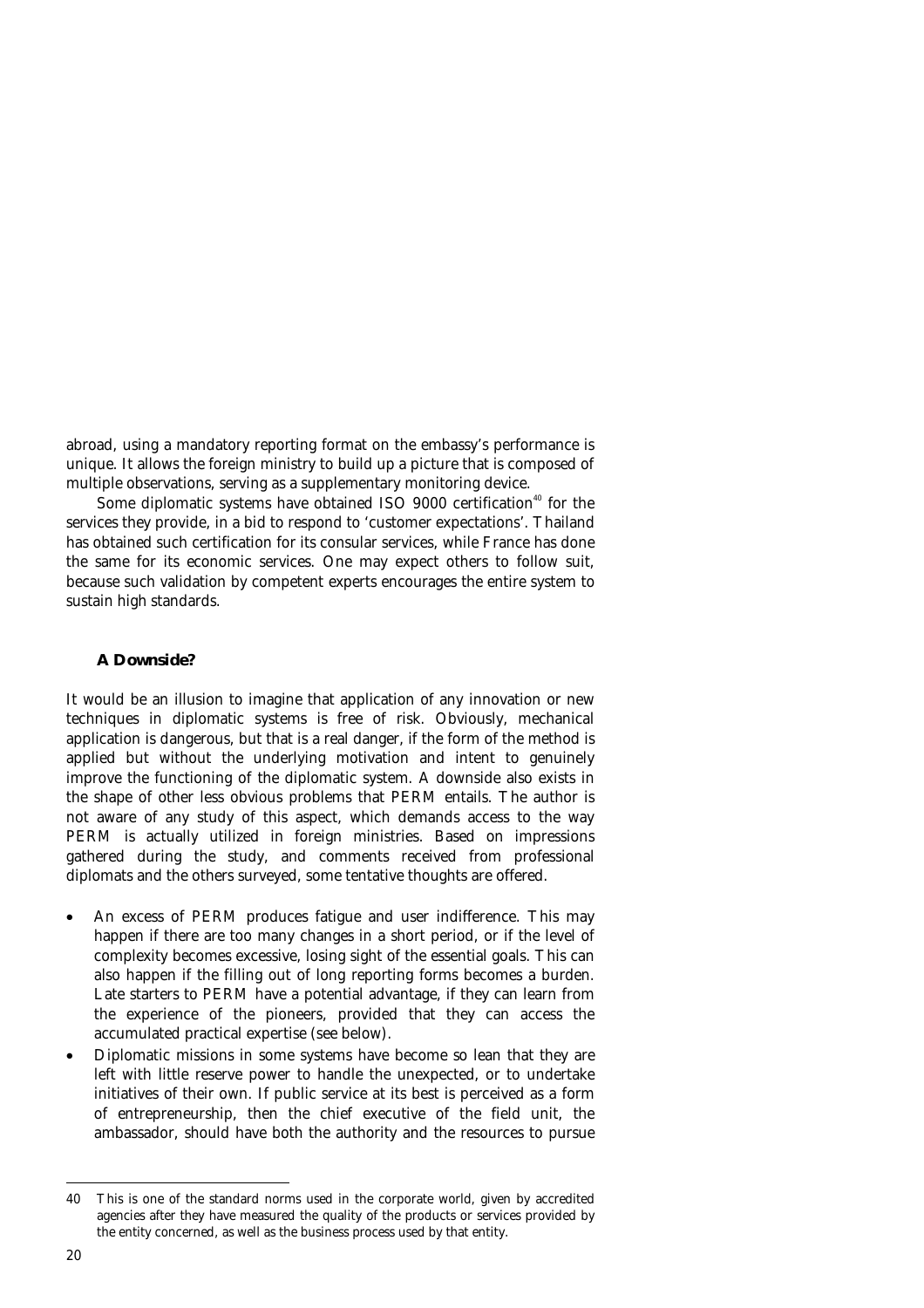abroad, using a mandatory reporting format on the embassy's performance is unique. It allows the foreign ministry to build up a picture that is composed of multiple observations, serving as a supplementary monitoring device.

Some diplomatic systems have obtained ISO 9000 certification<sup>40</sup> for the services they provide, in a bid to respond to 'customer expectations'. Thailand has obtained such certification for its consular services, while France has done the same for its economic services. One may expect others to follow suit, because such validation by competent experts encourages the entire system to sustain high standards.

## *A Downside?*

It would be an illusion to imagine that application of any innovation or new techniques in diplomatic systems is free of risk. Obviously, mechanical application is dangerous, but that is a real danger, if the form of the method is applied but without the underlying motivation and intent to genuinely improve the functioning of the diplomatic system. A downside also exists in the shape of other less obvious problems that PERM entails. The author is not aware of any study of this aspect, which demands access to the way PERM is actually utilized in foreign ministries. Based on impressions gathered during the study, and comments received from professional diplomats and the others surveyed, some tentative thoughts are offered.

- $\bullet$  An excess of PERM produces fatigue and user indifference. This may happen if there are too many changes in a short period, or if the level of complexity becomes excessive, losing sight of the essential goals. This can also happen if the filling out of long reporting forms becomes a burden. Late starters to PERM have a potential advantage, if they can learn from the experience of the pioneers, provided that they can access the accumulated practical expertise (see below).
- $\bullet$  Diplomatic missions in some systems have become so lean that they are left with little reserve power to handle the unexpected, or to undertake initiatives of their own. If public service at its best is perceived as a form of entrepreneurship, then the chief executive of the field unit, the ambassador, should have both the authority and the resources to pursue

 $\overline{a}$ 40 This is one of the standard norms used in the corporate world, given by accredited agencies after they have measured the quality of the products or services provided by the entity concerned, as well as the business process used by that entity.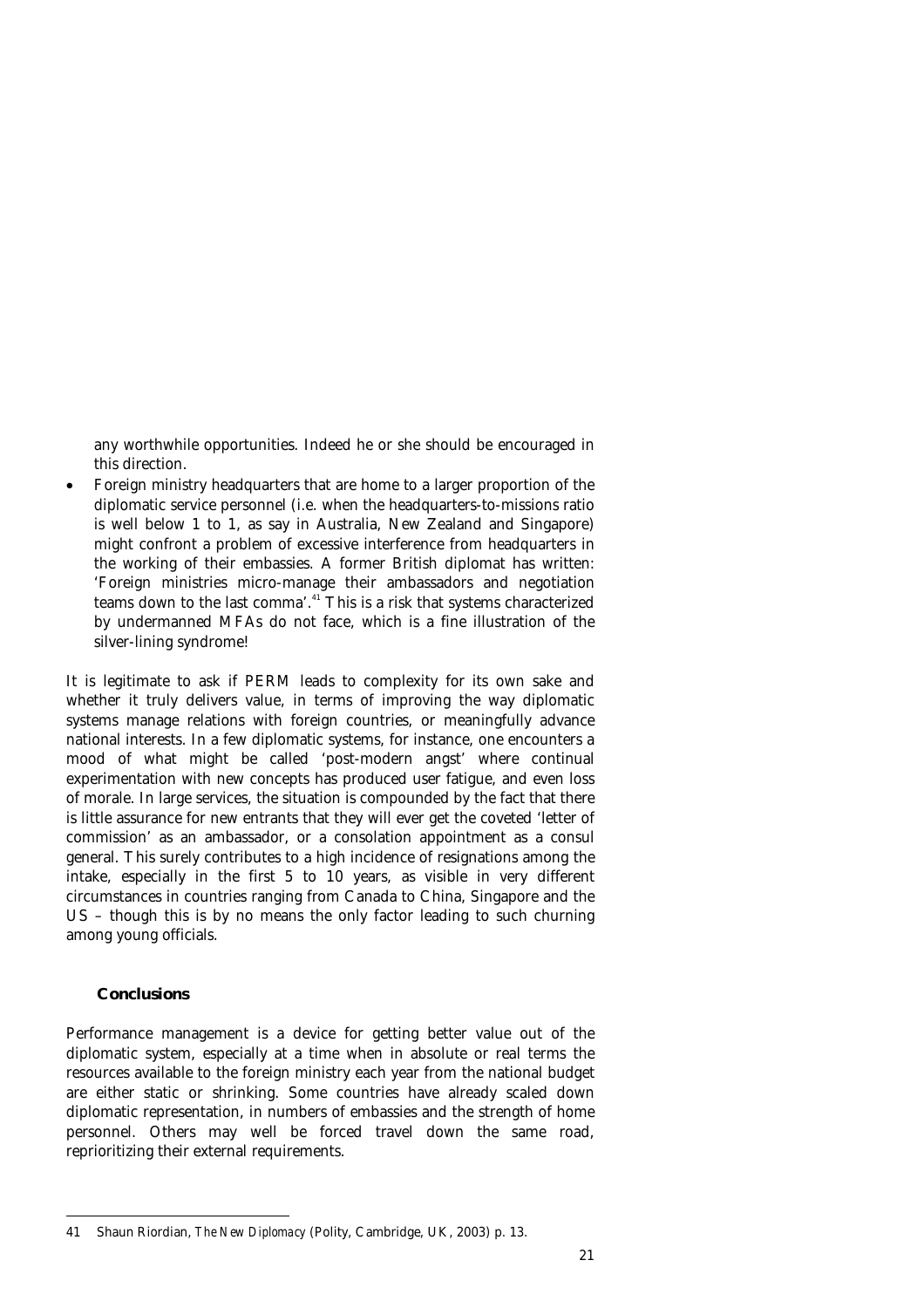any worthwhile opportunities. Indeed he or she should be encouraged in this direction.

 $\bullet$  Foreign ministry headquarters that are home to a larger proportion of the diplomatic service personnel (i.e. when the headquarters-to-missions ratio is well below 1 to 1, as say in Australia, New Zealand and Singapore) might confront a problem of excessive interference from headquarters in the working of their embassies. A former British diplomat has written: 'Foreign ministries micro-manage their ambassadors and negotiation teams down to the last comma'.41 This is a risk that systems characterized by undermanned MFAs do not face, which is a fine illustration of the silver-lining syndrome!

It is legitimate to ask if PERM leads to complexity for its own sake and whether it truly delivers value, in terms of improving the way diplomatic systems manage relations with foreign countries, or meaningfully advance national interests. In a few diplomatic systems, for instance, one encounters a mood of what might be called 'post-modern angst' where continual experimentation with new concepts has produced user fatigue, and even loss of morale. In large services, the situation is compounded by the fact that there is little assurance for new entrants that they will ever get the coveted 'letter of commission' as an ambassador, or a consolation appointment as a consul general. This surely contributes to a high incidence of resignations among the intake, especially in the first 5 to 10 years, as visible in very different circumstances in countries ranging from Canada to China, Singapore and the US – though this is by no means the only factor leading to such churning among young officials.

## *Conclusions*

Performance management is a device for getting better value out of the diplomatic system, especially at a time when in absolute or real terms the resources available to the foreign ministry each year from the national budget are either static or shrinking. Some countries have already scaled down diplomatic representation, in numbers of embassies and the strength of home personnel. Others may well be forced travel down the same road, reprioritizing their external requirements.

 $\overline{a}$ 41 Shaun Riordian, *The New Diplomacy* (Polity, Cambridge, UK, 2003) p. 13.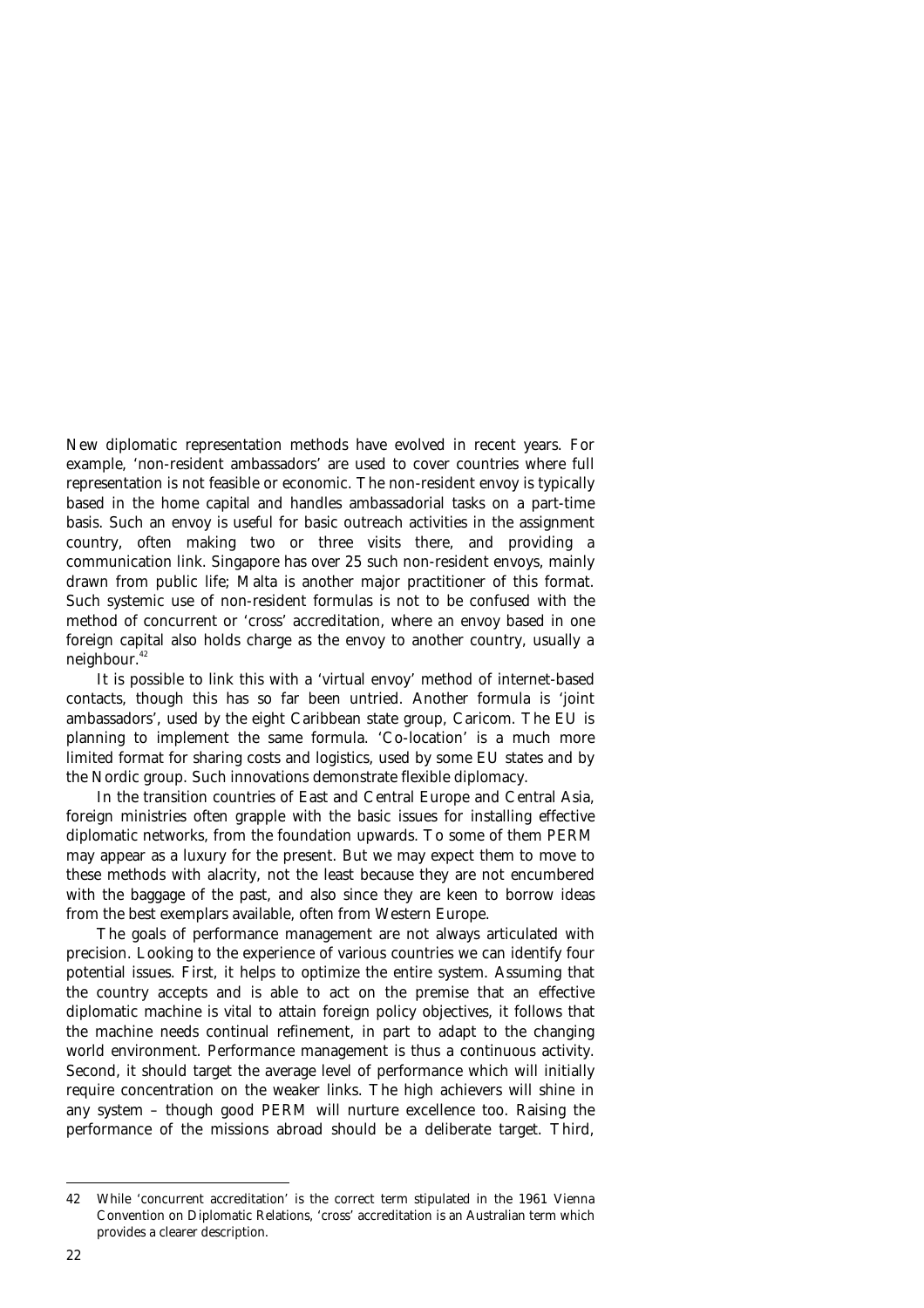New diplomatic representation methods have evolved in recent years. For example, 'non-resident ambassadors' are used to cover countries where full representation is not feasible or economic. The non-resident envoy is typically based in the home capital and handles ambassadorial tasks on a part-time basis. Such an envoy is useful for basic outreach activities in the assignment country, often making two or three visits there, and providing a communication link. Singapore has over 25 such non-resident envoys, mainly drawn from public life; Malta is another major practitioner of this format. Such systemic use of non-resident formulas is not to be confused with the method of concurrent or 'cross' accreditation, where an envoy based in one foreign capital also holds charge as the envoy to another country, usually a neighbour.<sup>42</sup>

 It is possible to link this with a 'virtual envoy' method of internet-based contacts, though this has so far been untried. Another formula is 'joint ambassadors', used by the eight Caribbean state group, Caricom. The EU is planning to implement the same formula. 'Co-location' is a much more limited format for sharing costs and logistics, used by some EU states and by the Nordic group. Such innovations demonstrate flexible diplomacy.

 In the transition countries of East and Central Europe and Central Asia, foreign ministries often grapple with the basic issues for installing effective diplomatic networks, from the foundation upwards. To some of them PERM may appear as a luxury for the present. But we may expect them to move to these methods with alacrity, not the least because they are not encumbered with the baggage of the past, and also since they are keen to borrow ideas from the best exemplars available, often from Western Europe.

 The goals of performance management are not always articulated with precision. Looking to the experience of various countries we can identify four potential issues. First, it helps to optimize the entire system. Assuming that the country accepts and is able to act on the premise that an effective diplomatic machine is vital to attain foreign policy objectives, it follows that the machine needs continual refinement, in part to adapt to the changing world environment. Performance management is thus a continuous activity. Second, it should target the average level of performance which will initially require concentration on the weaker links. The high achievers will shine in any system – though good PERM will nurture excellence too. Raising the performance of the missions abroad should be a deliberate target. Third,

<sup>42</sup> While 'concurrent accreditation' is the correct term stipulated in the 1961 Vienna Convention on Diplomatic Relations, 'cross' accreditation is an Australian term which provides a clearer description.